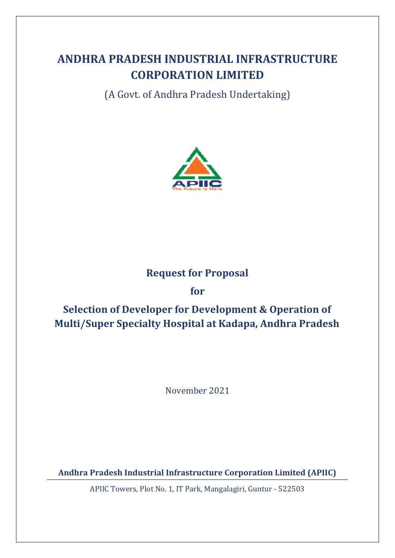# **ANDHRA PRADESH INDUSTRIAL INFRASTRUCTURE CORPORATION LIMITED**

(A Govt. of Andhra Pradesh Undertaking)



## **Request for Proposal**

## **for**

# **Selection of Developer for Development & Operation of Multi/Super Specialty Hospital at Kadapa, Andhra Pradesh**

November 2021

**Andhra Pradesh Industrial Infrastructure Corporation Limited (APIIC)**

APIIC Towers, Plot No. 1, IT Park, Mangalagiri, Guntur - 522503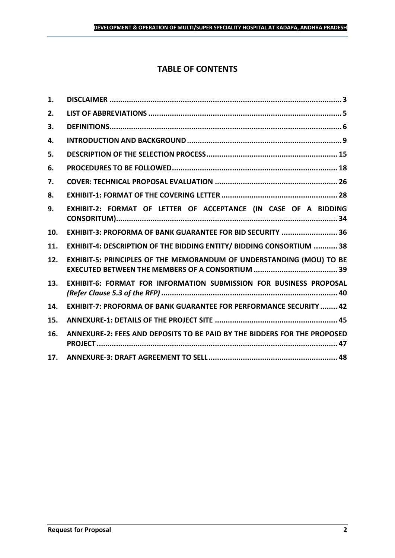## **TABLE OF CONTENTS**

| 1.  |                                                                           |
|-----|---------------------------------------------------------------------------|
| 2.  |                                                                           |
| 3.  |                                                                           |
| 4.  |                                                                           |
| 5.  |                                                                           |
| 6.  |                                                                           |
| 7.  |                                                                           |
| 8.  |                                                                           |
| 9.  | EXHIBIT-2: FORMAT OF LETTER OF ACCEPTANCE (IN CASE OF A BIDDING           |
| 10. | EXHIBIT-3: PROFORMA OF BANK GUARANTEE FOR BID SECURITY  36                |
| 11. | EXHIBIT-4: DESCRIPTION OF THE BIDDING ENTITY/ BIDDING CONSORTIUM  38      |
| 12. | EXHIBIT-5: PRINCIPLES OF THE MEMORANDUM OF UNDERSTANDING (MOU) TO BE      |
| 13. | EXHIBIT-6: FORMAT FOR INFORMATION SUBMISSION FOR BUSINESS PROPOSAL        |
| 14. | <b>EXHIBIT-7: PROFORMA OF BANK GUARANTEE FOR PERFORMANCE SECURITY  42</b> |
| 15. |                                                                           |
| 16. | ANNEXURE-2: FEES AND DEPOSITS TO BE PAID BY THE BIDDERS FOR THE PROPOSED  |
| 17. |                                                                           |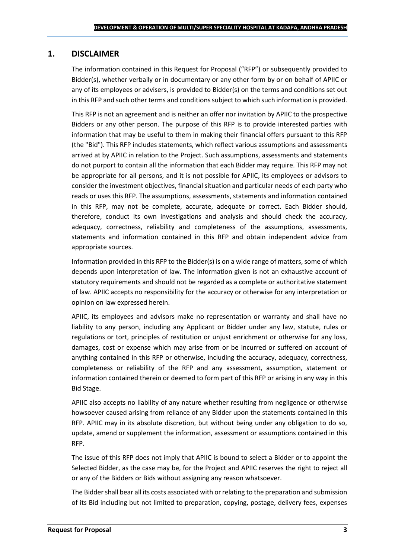## <span id="page-2-0"></span>**1. DISCLAIMER**

The information contained in this Request for Proposal ("RFP") or subsequently provided to Bidder(s), whether verbally or in documentary or any other form by or on behalf of APIIC or any of its employees or advisers, is provided to Bidder(s) on the terms and conditions set out in this RFP and such other terms and conditions subject to which such information is provided.

This RFP is not an agreement and is neither an offer nor invitation by APIIC to the prospective Bidders or any other person. The purpose of this RFP is to provide interested parties with information that may be useful to them in making their financial offers pursuant to this RFP (the "Bid"). This RFP includes statements, which reflect various assumptions and assessments arrived at by APIIC in relation to the Project. Such assumptions, assessments and statements do not purport to contain all the information that each Bidder may require. This RFP may not be appropriate for all persons, and it is not possible for APIIC, its employees or advisors to consider the investment objectives, financial situation and particular needs of each party who reads or uses this RFP. The assumptions, assessments, statements and information contained in this RFP, may not be complete, accurate, adequate or correct. Each Bidder should, therefore, conduct its own investigations and analysis and should check the accuracy, adequacy, correctness, reliability and completeness of the assumptions, assessments, statements and information contained in this RFP and obtain independent advice from appropriate sources.

Information provided in this RFP to the Bidder(s) is on a wide range of matters, some of which depends upon interpretation of law. The information given is not an exhaustive account of statutory requirements and should not be regarded as a complete or authoritative statement of law. APIIC accepts no responsibility for the accuracy or otherwise for any interpretation or opinion on law expressed herein.

APIIC, its employees and advisors make no representation or warranty and shall have no liability to any person, including any Applicant or Bidder under any law, statute, rules or regulations or tort, principles of restitution or unjust enrichment or otherwise for any loss, damages, cost or expense which may arise from or be incurred or suffered on account of anything contained in this RFP or otherwise, including the accuracy, adequacy, correctness, completeness or reliability of the RFP and any assessment, assumption, statement or information contained therein or deemed to form part of this RFP or arising in any way in this Bid Stage.

APIIC also accepts no liability of any nature whether resulting from negligence or otherwise howsoever caused arising from reliance of any Bidder upon the statements contained in this RFP. APIIC may in its absolute discretion, but without being under any obligation to do so, update, amend or supplement the information, assessment or assumptions contained in this RFP.

The issue of this RFP does not imply that APIIC is bound to select a Bidder or to appoint the Selected Bidder, as the case may be, for the Project and APIIC reserves the right to reject all or any of the Bidders or Bids without assigning any reason whatsoever.

The Bidder shall bear all its costs associated with or relating to the preparation and submission of its Bid including but not limited to preparation, copying, postage, delivery fees, expenses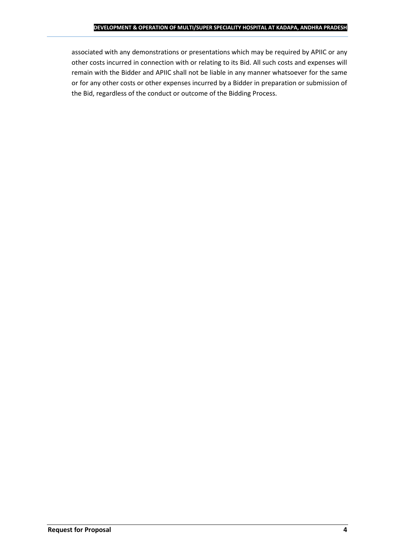associated with any demonstrations or presentations which may be required by APIIC or any other costs incurred in connection with or relating to its Bid. All such costs and expenses will remain with the Bidder and APIIC shall not be liable in any manner whatsoever for the same or for any other costs or other expenses incurred by a Bidder in preparation or submission of the Bid, regardless of the conduct or outcome of the Bidding Process.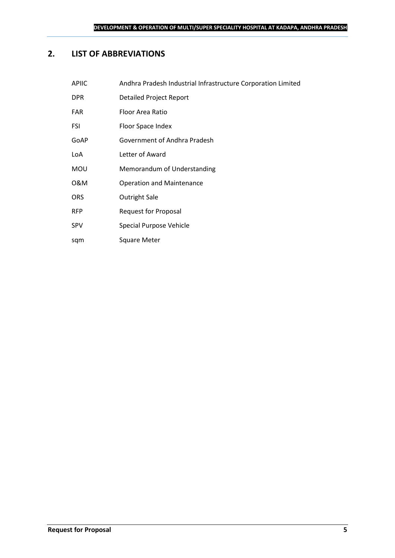## <span id="page-4-0"></span>**2. LIST OF ABBREVIATIONS**

| <b>APIIC</b> | Andhra Pradesh Industrial Infrastructure Corporation Limited |
|--------------|--------------------------------------------------------------|
| <b>DPR</b>   | <b>Detailed Project Report</b>                               |
| <b>FAR</b>   | Floor Area Ratio                                             |
| <b>FSI</b>   | Floor Space Index                                            |
| GoAP         | Government of Andhra Pradesh                                 |
| LoA          | Letter of Award                                              |
| <b>MOU</b>   | Memorandum of Understanding                                  |
| 0&M          | <b>Operation and Maintenance</b>                             |
| <b>ORS</b>   | <b>Outright Sale</b>                                         |
| <b>RFP</b>   | <b>Request for Proposal</b>                                  |
| <b>SPV</b>   | Special Purpose Vehicle                                      |

sqm Square Meter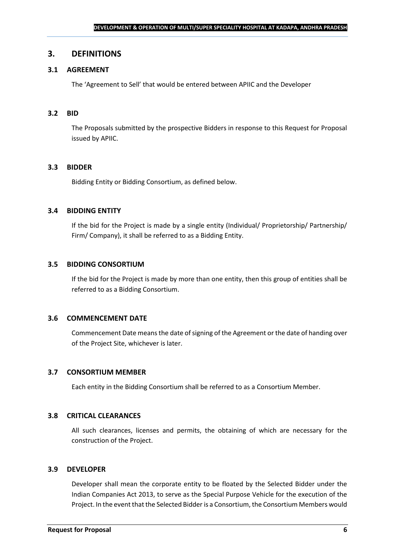### <span id="page-5-0"></span>**3. DEFINITIONS**

## **3.1 AGREEMENT**

The 'Agreement to Sell' that would be entered between APIIC and the Developer

#### **3.2 BID**

The Proposals submitted by the prospective Bidders in response to this Request for Proposal issued by APIIC.

#### **3.3 BIDDER**

Bidding Entity or Bidding Consortium, as defined below.

#### **3.4 BIDDING ENTITY**

If the bid for the Project is made by a single entity (Individual/ Proprietorship/ Partnership/ Firm/ Company), it shall be referred to as a Bidding Entity.

#### **3.5 BIDDING CONSORTIUM**

If the bid for the Project is made by more than one entity, then this group of entities shall be referred to as a Bidding Consortium.

#### **3.6 COMMENCEMENT DATE**

Commencement Date means the date of signing of the Agreement or the date of handing over of the Project Site, whichever is later.

#### **3.7 CONSORTIUM MEMBER**

Each entity in the Bidding Consortium shall be referred to as a Consortium Member.

#### **3.8 CRITICAL CLEARANCES**

All such clearances, licenses and permits, the obtaining of which are necessary for the construction of the Project.

#### **3.9 DEVELOPER**

Developer shall mean the corporate entity to be floated by the Selected Bidder under the Indian Companies Act 2013, to serve as the Special Purpose Vehicle for the execution of the Project. In the event that the Selected Bidder is a Consortium, the Consortium Members would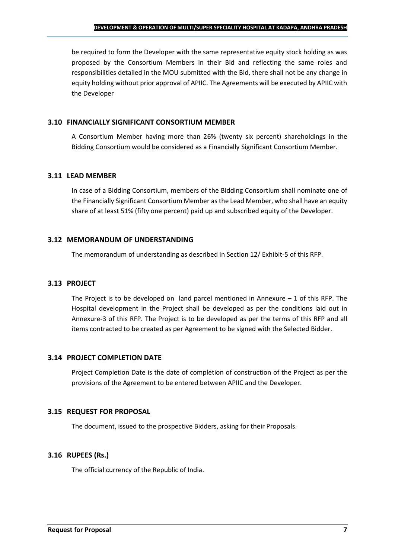be required to form the Developer with the same representative equity stock holding as was proposed by the Consortium Members in their Bid and reflecting the same roles and responsibilities detailed in the MOU submitted with the Bid, there shall not be any change in equity holding without prior approval of APIIC. The Agreements will be executed by APIIC with the Developer

#### **3.10 FINANCIALLY SIGNIFICANT CONSORTIUM MEMBER**

A Consortium Member having more than 26% (twenty six percent) shareholdings in the Bidding Consortium would be considered as a Financially Significant Consortium Member.

#### **3.11 LEAD MEMBER**

In case of a Bidding Consortium, members of the Bidding Consortium shall nominate one of the Financially Significant Consortium Member as the Lead Member, who shall have an equity share of at least 51% (fifty one percent) paid up and subscribed equity of the Developer.

#### **3.12 MEMORANDUM OF UNDERSTANDING**

The memorandum of understanding as described in Section 12/ Exhibit-5 of this RFP.

## **3.13 PROJECT**

The Project is to be developed on land parcel mentioned in Annexure  $-1$  of this RFP. The Hospital development in the Project shall be developed as per the conditions laid out in Annexure-3 of this RFP. The Project is to be developed as per the terms of this RFP and all items contracted to be created as per Agreement to be signed with the Selected Bidder.

## **3.14 PROJECT COMPLETION DATE**

Project Completion Date is the date of completion of construction of the Project as per the provisions of the Agreement to be entered between APIIC and the Developer.

## **3.15 REQUEST FOR PROPOSAL**

The document, issued to the prospective Bidders, asking for their Proposals.

## **3.16 RUPEES (Rs.)**

The official currency of the Republic of India.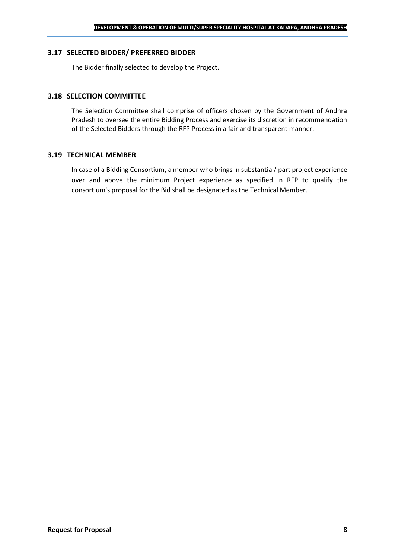#### **3.17 SELECTED BIDDER/ PREFERRED BIDDER**

The Bidder finally selected to develop the Project.

#### **3.18 SELECTION COMMITTEE**

The Selection Committee shall comprise of officers chosen by the Government of Andhra Pradesh to oversee the entire Bidding Process and exercise its discretion in recommendation of the Selected Bidders through the RFP Process in a fair and transparent manner.

#### **3.19 TECHNICAL MEMBER**

In case of a Bidding Consortium, a member who brings in substantial/ part project experience over and above the minimum Project experience as specified in RFP to qualify the consortium's proposal for the Bid shall be designated as the Technical Member.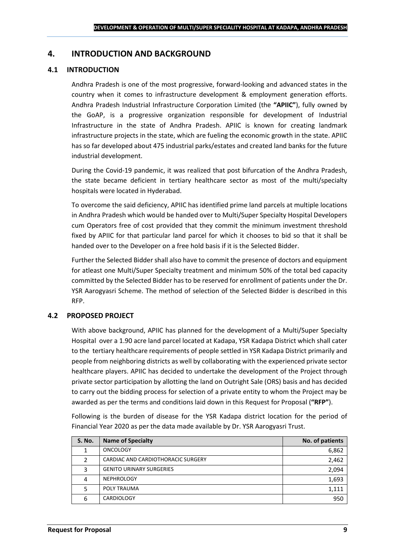## <span id="page-8-0"></span>**4. INTRODUCTION AND BACKGROUND**

#### **4.1 INTRODUCTION**

Andhra Pradesh is one of the most progressive, forward-looking and advanced states in the country when it comes to infrastructure development & employment generation efforts. Andhra Pradesh Industrial Infrastructure Corporation Limited (the **"APIIC"**), fully owned by the GoAP, is a progressive organization responsible for development of Industrial Infrastructure in the state of Andhra Pradesh. APIIC is known for creating landmark infrastructure projects in the state, which are fueling the economic growth in the state. APIIC has so far developed about 475 industrial parks/estates and created land banks for the future industrial development.

During the Covid-19 pandemic, it was realized that post bifurcation of the Andhra Pradesh, the state became deficient in tertiary healthcare sector as most of the multi/specialty hospitals were located in Hyderabad.

To overcome the said deficiency, APIIC has identified prime land parcels at multiple locations in Andhra Pradesh which would be handed over to Multi/Super Specialty Hospital Developers cum Operators free of cost provided that they commit the minimum investment threshold fixed by APIIC for that particular land parcel for which it chooses to bid so that it shall be handed over to the Developer on a free hold basis if it is the Selected Bidder.

Further the Selected Bidder shall also have to commit the presence of doctors and equipment for atleast one Multi/Super Specialty treatment and minimum 50% of the total bed capacity committed by the Selected Bidder has to be reserved for enrollment of patients under the Dr. YSR Aarogyasri Scheme. The method of selection of the Selected Bidder is described in this RFP.

#### **4.2 PROPOSED PROJECT**

With above background, APIIC has planned for the development of a Multi/Super Specialty Hospital over a 1.90 acre land parcel located at Kadapa, YSR Kadapa District which shall cater to the tertiary healthcare requirements of people settled in YSR Kadapa District primarily and people from neighboring districts as well by collaborating with the experienced private sector healthcare players. APIIC has decided to undertake the development of the Project through private sector participation by allotting the land on Outright Sale (ORS) basis and has decided to carry out the bidding process for selection of a private entity to whom the Project may be awarded as per the terms and conditions laid down in this Request for Proposal (**"RFP"**).

Following is the burden of disease for the YSR Kadapa district location for the period of Financial Year 2020 as per the data made available by Dr. YSR Aarogyasri Trust.

| <b>S. No.</b> | <b>Name of Specialty</b>           | No. of patients |
|---------------|------------------------------------|-----------------|
|               | <b>ONCOLOGY</b>                    | 6,862           |
|               | CARDIAC AND CARDIOTHORACIC SURGERY | 2,462           |
| 3             | <b>GENITO URINARY SURGERIES</b>    | 2,094           |
|               | <b>NEPHROLOGY</b>                  | 1,693           |
|               | POLY TRAUMA                        | 1,111           |
| 6             | <b>CARDIOLOGY</b>                  | 950             |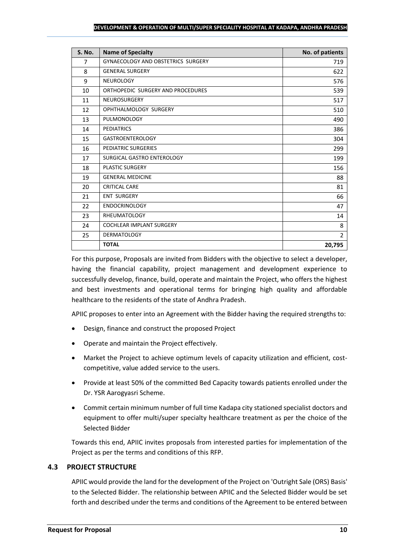| <b>S. No.</b> | <b>Name of Specialty</b>                  | No. of patients |
|---------------|-------------------------------------------|-----------------|
| 7             | <b>GYNAECOLOGY AND OBSTETRICS SURGERY</b> | 719             |
| 8             | <b>GENERAL SURGERY</b>                    | 622             |
| 9             | <b>NEUROLOGY</b>                          | 576             |
| 10            | ORTHOPEDIC SURGERY AND PROCEDURES         | 539             |
| 11            | <b>NEUROSURGERY</b>                       | 517             |
| 12            | OPHTHALMOLOGY SURGERY                     | 510             |
| 13            | <b>PULMONOLOGY</b>                        | 490             |
| 14            | <b>PEDIATRICS</b>                         | 386             |
| 15            | <b>GASTROENTEROLOGY</b>                   | 304             |
| 16            | PEDIATRIC SURGERIES                       | 299             |
| 17            | SURGICAL GASTRO ENTEROLOGY                | 199             |
| 18            | PLASTIC SURGERY                           | 156             |
| 19            | <b>GENERAL MEDICINE</b>                   | 88              |
| 20            | <b>CRITICAL CARE</b>                      | 81              |
| 21            | <b>ENT SURGERY</b>                        | 66              |
| 22            | <b>ENDOCRINOLOGY</b>                      | 47              |
| 23            | <b>RHEUMATOLOGY</b>                       | 14              |
| 24            | <b>COCHLEAR IMPLANT SURGERY</b>           | 8               |
| 25            | <b>DERMATOLOGY</b>                        | $\overline{2}$  |
|               | <b>TOTAL</b>                              | 20,795          |

For this purpose, Proposals are invited from Bidders with the objective to select a developer, having the financial capability, project management and development experience to successfully develop, finance, build, operate and maintain the Project, who offers the highest and best investments and operational terms for bringing high quality and affordable healthcare to the residents of the state of Andhra Pradesh.

APIIC proposes to enter into an Agreement with the Bidder having the required strengths to:

- Design, finance and construct the proposed Project
- Operate and maintain the Project effectively.
- Market the Project to achieve optimum levels of capacity utilization and efficient, costcompetitive, value added service to the users.
- Provide at least 50% of the committed Bed Capacity towards patients enrolled under the Dr. YSR Aarogyasri Scheme.
- Commit certain minimum number of full time Kadapa city stationed specialist doctors and equipment to offer multi/super specialty healthcare treatment as per the choice of the Selected Bidder

Towards this end, APIIC invites proposals from interested parties for implementation of the Project as per the terms and conditions of this RFP.

## **4.3 PROJECT STRUCTURE**

APIIC would provide the land for the development of the Project on 'Outright Sale (ORS) Basis' to the Selected Bidder. The relationship between APIIC and the Selected Bidder would be set forth and described under the terms and conditions of the Agreement to be entered between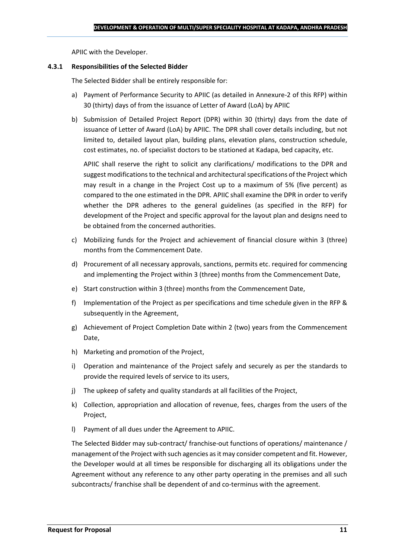APIIC with the Developer.

#### **4.3.1 Responsibilities of the Selected Bidder**

The Selected Bidder shall be entirely responsible for:

- a) Payment of Performance Security to APIIC (as detailed in Annexure-2 of this RFP) within 30 (thirty) days of from the issuance of Letter of Award (LoA) by APIIC
- b) Submission of Detailed Project Report (DPR) within 30 (thirty) days from the date of issuance of Letter of Award (LoA) by APIIC. The DPR shall cover details including, but not limited to, detailed layout plan, building plans, elevation plans, construction schedule, cost estimates, no. of specialist doctors to be stationed at Kadapa, bed capacity, etc.

APIIC shall reserve the right to solicit any clarifications/ modifications to the DPR and suggest modifications to the technical and architectural specifications of the Project which may result in a change in the Project Cost up to a maximum of 5% (five percent) as compared to the one estimated in the DPR. APIIC shall examine the DPR in order to verify whether the DPR adheres to the general guidelines (as specified in the RFP) for development of the Project and specific approval for the layout plan and designs need to be obtained from the concerned authorities.

- c) Mobilizing funds for the Project and achievement of financial closure within 3 (three) months from the Commencement Date.
- d) Procurement of all necessary approvals, sanctions, permits etc. required for commencing and implementing the Project within 3 (three) months from the Commencement Date,
- e) Start construction within 3 (three) months from the Commencement Date,
- f) Implementation of the Project as per specifications and time schedule given in the RFP & subsequently in the Agreement,
- g) Achievement of Project Completion Date within 2 (two) years from the Commencement Date,
- h) Marketing and promotion of the Project,
- i) Operation and maintenance of the Project safely and securely as per the standards to provide the required levels of service to its users,
- j) The upkeep of safety and quality standards at all facilities of the Project,
- k) Collection, appropriation and allocation of revenue, fees, charges from the users of the Project,
- l) Payment of all dues under the Agreement to APIIC.

The Selected Bidder may sub-contract/ franchise-out functions of operations/ maintenance / management of the Project with such agencies as it may consider competent and fit. However, the Developer would at all times be responsible for discharging all its obligations under the Agreement without any reference to any other party operating in the premises and all such subcontracts/ franchise shall be dependent of and co-terminus with the agreement.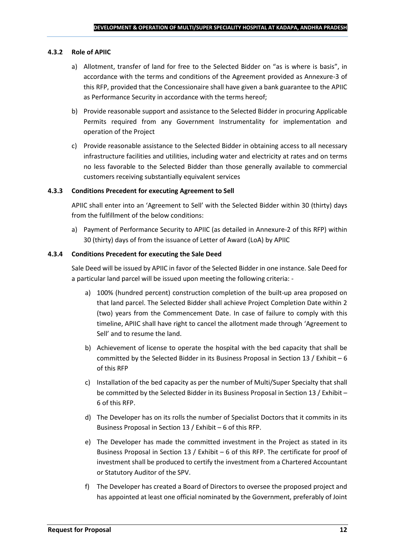#### **4.3.2 Role of APIIC**

- a) Allotment, transfer of land for free to the Selected Bidder on "as is where is basis", in accordance with the terms and conditions of the Agreement provided as Annexure-3 of this RFP, provided that the Concessionaire shall have given a bank guarantee to the APIIC as Performance Security in accordance with the terms hereof;
- b) Provide reasonable support and assistance to the Selected Bidder in procuring Applicable Permits required from any Government Instrumentality for implementation and operation of the Project
- c) Provide reasonable assistance to the Selected Bidder in obtaining access to all necessary infrastructure facilities and utilities, including water and electricity at rates and on terms no less favorable to the Selected Bidder than those generally available to commercial customers receiving substantially equivalent services

#### **4.3.3 Conditions Precedent for executing Agreement to Sell**

APIIC shall enter into an 'Agreement to Sell' with the Selected Bidder within 30 (thirty) days from the fulfillment of the below conditions:

a) Payment of Performance Security to APIIC (as detailed in Annexure-2 of this RFP) within 30 (thirty) days of from the issuance of Letter of Award (LoA) by APIIC

#### **4.3.4 Conditions Precedent for executing the Sale Deed**

Sale Deed will be issued by APIIC in favor of the Selected Bidder in one instance. Sale Deed for a particular land parcel will be issued upon meeting the following criteria: -

- a) 100% (hundred percent) construction completion of the built-up area proposed on that land parcel. The Selected Bidder shall achieve Project Completion Date within 2 (two) years from the Commencement Date. In case of failure to comply with this timeline, APIIC shall have right to cancel the allotment made through 'Agreement to Sell' and to resume the land.
- b) Achievement of license to operate the hospital with the bed capacity that shall be committed by the Selected Bidder in its Business Proposal in Section 13 / Exhibit – 6 of this RFP
- c) Installation of the bed capacity as per the number of Multi/Super Specialty that shall be committed by the Selected Bidder in its Business Proposal in Section 13 / Exhibit – 6 of this RFP.
- d) The Developer has on its rolls the number of Specialist Doctors that it commits in its Business Proposal in Section 13 / Exhibit – 6 of this RFP.
- e) The Developer has made the committed investment in the Project as stated in its Business Proposal in Section 13 / Exhibit – 6 of this RFP. The certificate for proof of investment shall be produced to certify the investment from a Chartered Accountant or Statutory Auditor of the SPV.
- f) The Developer has created a Board of Directors to oversee the proposed project and has appointed at least one official nominated by the Government, preferably of Joint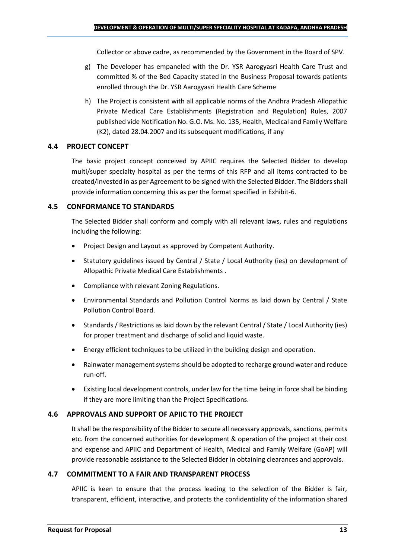Collector or above cadre, as recommended by the Government in the Board of SPV.

- g) The Developer has empaneled with the Dr. YSR Aarogyasri Health Care Trust and committed % of the Bed Capacity stated in the Business Proposal towards patients enrolled through the Dr. YSR Aarogyasri Health Care Scheme
- h) The Project is consistent with all applicable norms of the Andhra Pradesh Allopathic Private Medical Care Establishments (Registration and Regulation) Rules, 2007 published vide Notification No. G.O. Ms. No. 135, Health, Medical and Family Welfare (K2), dated 28.04.2007 and its subsequent modifications, if any

#### **4.4 PROJECT CONCEPT**

The basic project concept conceived by APIIC requires the Selected Bidder to develop multi/super specialty hospital as per the terms of this RFP and all items contracted to be created/invested in as per Agreement to be signed with the Selected Bidder. The Bidders shall provide information concerning this as per the format specified in Exhibit-6.

#### **4.5 CONFORMANCE TO STANDARDS**

The Selected Bidder shall conform and comply with all relevant laws, rules and regulations including the following:

- Project Design and Layout as approved by Competent Authority.
- Statutory guidelines issued by Central / State / Local Authority (ies) on development of Allopathic Private Medical Care Establishments .
- Compliance with relevant Zoning Regulations.
- Environmental Standards and Pollution Control Norms as laid down by Central / State Pollution Control Board.
- Standards / Restrictions as laid down by the relevant Central / State / Local Authority (ies) for proper treatment and discharge of solid and liquid waste.
- Energy efficient techniques to be utilized in the building design and operation.
- Rainwater management systems should be adopted to recharge ground water and reduce run-off.
- Existing local development controls, under law for the time being in force shall be binding if they are more limiting than the Project Specifications.

## **4.6 APPROVALS AND SUPPORT OF APIIC TO THE PROJECT**

It shall be the responsibility of the Bidder to secure all necessary approvals, sanctions, permits etc. from the concerned authorities for development & operation of the project at their cost and expense and APIIC and Department of Health, Medical and Family Welfare (GoAP) will provide reasonable assistance to the Selected Bidder in obtaining clearances and approvals.

#### **4.7 COMMITMENT TO A FAIR AND TRANSPARENT PROCESS**

APIIC is keen to ensure that the process leading to the selection of the Bidder is fair, transparent, efficient, interactive, and protects the confidentiality of the information shared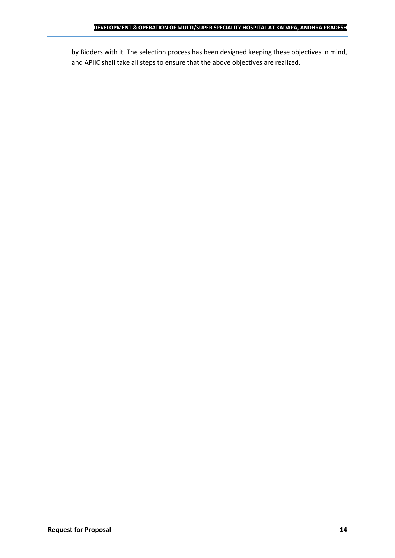by Bidders with it. The selection process has been designed keeping these objectives in mind, and APIIC shall take all steps to ensure that the above objectives are realized.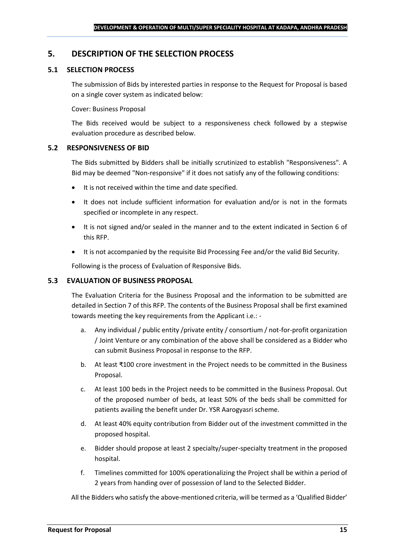## <span id="page-14-0"></span>**5. DESCRIPTION OF THE SELECTION PROCESS**

## **5.1 SELECTION PROCESS**

The submission of Bids by interested parties in response to the Request for Proposal is based on a single cover system as indicated below:

#### Cover: Business Proposal

The Bids received would be subject to a responsiveness check followed by a stepwise evaluation procedure as described below.

#### **5.2 RESPONSIVENESS OF BID**

The Bids submitted by Bidders shall be initially scrutinized to establish "Responsiveness". A Bid may be deemed "Non-responsive" if it does not satisfy any of the following conditions:

- It is not received within the time and date specified.
- It does not include sufficient information for evaluation and/or is not in the formats specified or incomplete in any respect.
- It is not signed and/or sealed in the manner and to the extent indicated in Section 6 of this RFP.
- It is not accompanied by the requisite Bid Processing Fee and/or the valid Bid Security.

Following is the process of Evaluation of Responsive Bids.

#### **5.3 EVALUATION OF BUSINESS PROPOSAL**

The Evaluation Criteria for the Business Proposal and the information to be submitted are detailed in Section 7 of this RFP. The contents of the Business Proposal shall be first examined towards meeting the key requirements from the Applicant i.e.: -

- a. Any individual / public entity / private entity / consortium / not-for-profit organization / Joint Venture or any combination of the above shall be considered as a Bidder who can submit Business Proposal in response to the RFP.
- b. At least ₹100 crore investment in the Project needs to be committed in the Business Proposal.
- c. At least 100 beds in the Project needs to be committed in the Business Proposal. Out of the proposed number of beds, at least 50% of the beds shall be committed for patients availing the benefit under Dr. YSR Aarogyasri scheme.
- d. At least 40% equity contribution from Bidder out of the investment committed in the proposed hospital.
- e. Bidder should propose at least 2 specialty/super-specialty treatment in the proposed hospital.
- f. Timelines committed for 100% operationalizing the Project shall be within a period of 2 years from handing over of possession of land to the Selected Bidder.

All the Bidders who satisfy the above-mentioned criteria, will be termed as a 'Qualified Bidder'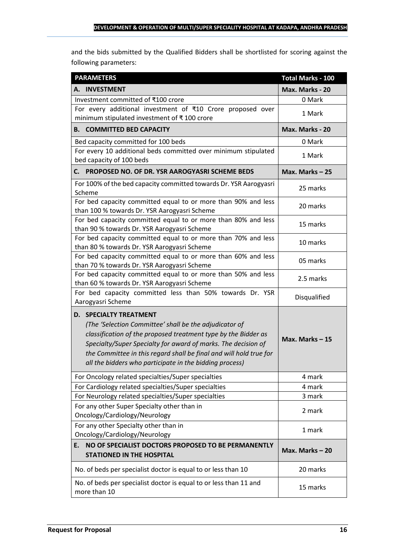and the bids submitted by the Qualified Bidders shall be shortlisted for scoring against the following parameters:

| <b>PARAMETERS</b>                                                                                                                                                                                                                                                                                                                                           | <b>Total Marks - 100</b> |
|-------------------------------------------------------------------------------------------------------------------------------------------------------------------------------------------------------------------------------------------------------------------------------------------------------------------------------------------------------------|--------------------------|
| A. INVESTMENT                                                                                                                                                                                                                                                                                                                                               | Max. Marks - 20          |
| Investment committed of ₹100 crore                                                                                                                                                                                                                                                                                                                          | 0 Mark                   |
| For every additional investment of ₹10 Crore proposed over<br>minimum stipulated investment of ₹100 crore                                                                                                                                                                                                                                                   | 1 Mark                   |
| <b>B. COMMITTED BED CAPACITY</b>                                                                                                                                                                                                                                                                                                                            | Max. Marks - 20          |
| Bed capacity committed for 100 beds                                                                                                                                                                                                                                                                                                                         | 0 Mark                   |
| For every 10 additional beds committed over minimum stipulated<br>bed capacity of 100 beds                                                                                                                                                                                                                                                                  | 1 Mark                   |
| PROPOSED NO. OF DR. YSR AAROGYASRI SCHEME BEDS<br>С. —                                                                                                                                                                                                                                                                                                      | Max. Marks-25            |
| For 100% of the bed capacity committed towards Dr. YSR Aarogyasri<br>Scheme                                                                                                                                                                                                                                                                                 | 25 marks                 |
| For bed capacity committed equal to or more than 90% and less<br>than 100 % towards Dr. YSR Aarogyasri Scheme                                                                                                                                                                                                                                               | 20 marks                 |
| For bed capacity committed equal to or more than 80% and less<br>than 90 % towards Dr. YSR Aarogyasri Scheme                                                                                                                                                                                                                                                | 15 marks                 |
| For bed capacity committed equal to or more than 70% and less<br>than 80 % towards Dr. YSR Aarogyasri Scheme                                                                                                                                                                                                                                                | 10 marks                 |
| For bed capacity committed equal to or more than 60% and less<br>than 70 % towards Dr. YSR Aarogyasri Scheme                                                                                                                                                                                                                                                | 05 marks                 |
| For bed capacity committed equal to or more than 50% and less<br>than 60 % towards Dr. YSR Aarogyasri Scheme                                                                                                                                                                                                                                                | 2.5 marks                |
| For bed capacity committed less than 50% towards Dr. YSR<br>Aarogyasri Scheme                                                                                                                                                                                                                                                                               | Disqualified             |
| <b>D. SPECIALTY TREATMENT</b><br>(The 'Selection Committee' shall be the adjudicator of<br>classification of the proposed treatment type by the Bidder as<br>Specialty/Super Specialty for award of marks. The decision of<br>the Committee in this regard shall be final and will hold true for<br>all the bidders who participate in the bidding process) | Max. Marks-15            |
| For Oncology related specialties/Super specialties                                                                                                                                                                                                                                                                                                          | 4 mark                   |
| For Cardiology related specialties/Super specialties                                                                                                                                                                                                                                                                                                        | 4 mark                   |
| For Neurology related specialties/Super specialties                                                                                                                                                                                                                                                                                                         | 3 mark                   |
| For any other Super Specialty other than in<br>Oncology/Cardiology/Neurology                                                                                                                                                                                                                                                                                | 2 mark                   |
| For any other Specialty other than in<br>Oncology/Cardiology/Neurology                                                                                                                                                                                                                                                                                      | 1 mark                   |
| NO OF SPECIALIST DOCTORS PROPOSED TO BE PERMANENTLY<br>E.<br><b>STATIONED IN THE HOSPITAL</b>                                                                                                                                                                                                                                                               | Max. Marks - 20          |
| No. of beds per specialist doctor is equal to or less than 10                                                                                                                                                                                                                                                                                               | 20 marks                 |
| No. of beds per specialist doctor is equal to or less than 11 and<br>more than 10                                                                                                                                                                                                                                                                           | 15 marks                 |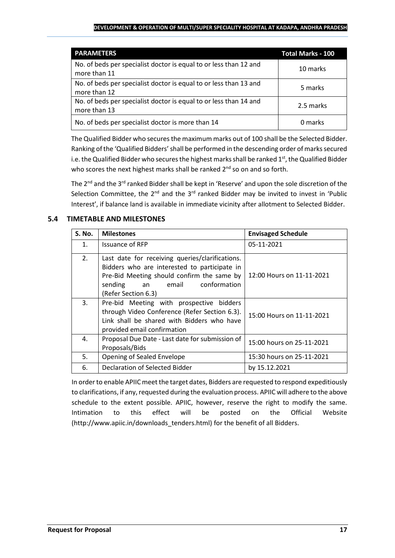| <b>PARAMETERS</b>                                                                 | <b>Total Marks - 100</b> |
|-----------------------------------------------------------------------------------|--------------------------|
| No. of beds per specialist doctor is equal to or less than 12 and<br>more than 11 | 10 marks                 |
| No. of beds per specialist doctor is equal to or less than 13 and<br>more than 12 | 5 marks                  |
| No. of beds per specialist doctor is equal to or less than 14 and<br>more than 13 | 2.5 marks                |
| No. of beds per specialist doctor is more than 14                                 | 0 marks                  |

The Qualified Bidder who securesthe maximum marks out of 100 shall be the Selected Bidder. Ranking of the 'Qualified Bidders'shall be performed in the descending order of marks secured i.e. the Qualified Bidder who secures the highest marks shall be ranked  $1<sup>st</sup>$ , the Qualified Bidder who scores the next highest marks shall be ranked 2<sup>nd</sup> so on and so forth.

The 2<sup>nd</sup> and the 3<sup>rd</sup> ranked Bidder shall be kept in 'Reserve' and upon the sole discretion of the Selection Committee, the  $2^{nd}$  and the  $3^{rd}$  ranked Bidder may be invited to invest in 'Public Interest', if balance land is available in immediate vicinity after allotment to Selected Bidder.

## **5.4 TIMETABLE AND MILESTONES**

| <b>S. No.</b>  | <b>Milestones</b>                                                                                                                                                                                              | <b>Envisaged Schedule</b> |
|----------------|----------------------------------------------------------------------------------------------------------------------------------------------------------------------------------------------------------------|---------------------------|
| $\mathbf{1}$ . | <b>Issuance of RFP</b>                                                                                                                                                                                         | 05-11-2021                |
| 2.             | Last date for receiving queries/clarifications.<br>Bidders who are interested to participate in<br>Pre-Bid Meeting should confirm the same by<br>conformation<br>sending<br>email<br>an<br>(Refer Section 6.3) | 12:00 Hours on 11-11-2021 |
| 3.             | Pre-bid Meeting with prospective bidders<br>through Video Conference (Refer Section 6.3).<br>Link shall be shared with Bidders who have<br>provided email confirmation                                         | 15:00 Hours on 11-11-2021 |
| 4.             | Proposal Due Date - Last date for submission of<br>Proposals/Bids                                                                                                                                              | 15:00 hours on 25-11-2021 |
| 5.             | Opening of Sealed Envelope                                                                                                                                                                                     | 15:30 hours on 25-11-2021 |
| 6.             | Declaration of Selected Bidder                                                                                                                                                                                 | by 15.12.2021             |

In order to enable APIIC meet the target dates, Bidders are requested to respond expeditiously to clarifications, if any, requested during the evaluation process. APIIC will adhere to the above schedule to the extent possible. APIIC, however, reserve the right to modify the same. Intimation to this effect will be posted on the Official Website (http://www.apiic.in/downloads\_tenders.html) for the benefit of all Bidders.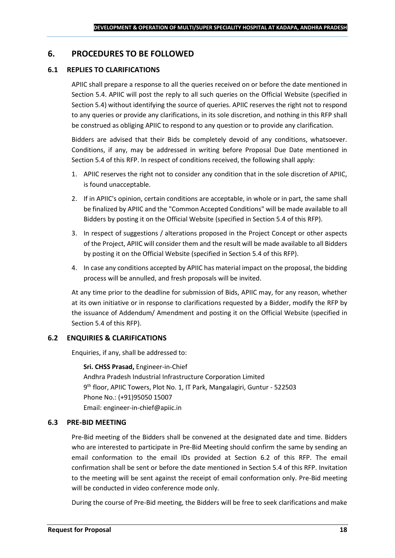## <span id="page-17-0"></span>**6. PROCEDURES TO BE FOLLOWED**

#### **6.1 REPLIES TO CLARIFICATIONS**

APIIC shall prepare a response to all the queries received on or before the date mentioned in Section 5.4. APIIC will post the reply to all such queries on the Official Website (specified in Section 5.4) without identifying the source of queries. APIIC reserves the right not to respond to any queries or provide any clarifications, in its sole discretion, and nothing in this RFP shall be construed as obliging APIIC to respond to any question or to provide any clarification.

Bidders are advised that their Bids be completely devoid of any conditions, whatsoever. Conditions, if any, may be addressed in writing before Proposal Due Date mentioned in Section 5.4 of this RFP. In respect of conditions received, the following shall apply:

- 1. APIIC reserves the right not to consider any condition that in the sole discretion of APIIC, is found unacceptable.
- 2. If in APIIC's opinion, certain conditions are acceptable, in whole or in part, the same shall be finalized by APIIC and the "Common Accepted Conditions" will be made available to all Bidders by posting it on the Official Website (specified in Section 5.4 of this RFP).
- 3. In respect of suggestions / alterations proposed in the Project Concept or other aspects of the Project, APIIC will consider them and the result will be made available to all Bidders by posting it on the Official Website (specified in Section 5.4 of this RFP).
- 4. In case any conditions accepted by APIIC has material impact on the proposal, the bidding process will be annulled, and fresh proposals will be invited.

At any time prior to the deadline for submission of Bids, APIIC may, for any reason, whether at its own initiative or in response to clarifications requested by a Bidder, modify the RFP by the issuance of Addendum/ Amendment and posting it on the Official Website (specified in Section 5.4 of this RFP).

## **6.2 ENQUIRIES & CLARIFICATIONS**

Enquiries, if any, shall be addressed to:

**Sri. CHSS Prasad,** Engineer-in-Chief Andhra Pradesh Industrial Infrastructure Corporation Limited 9 th floor, APIIC Towers, Plot No. 1, IT Park, Mangalagiri, Guntur - 522503 Phone No.: (+91)95050 15007 Email: engineer-in-chief@apiic.in

#### **6.3 PRE-BID MEETING**

Pre-Bid meeting of the Bidders shall be convened at the designated date and time. Bidders who are interested to participate in Pre-Bid Meeting should confirm the same by sending an email conformation to the email IDs provided at Section 6.2 of this RFP. The email confirmation shall be sent or before the date mentioned in Section 5.4 of this RFP. Invitation to the meeting will be sent against the receipt of email conformation only. Pre-Bid meeting will be conducted in video conference mode only.

During the course of Pre-Bid meeting, the Bidders will be free to seek clarifications and make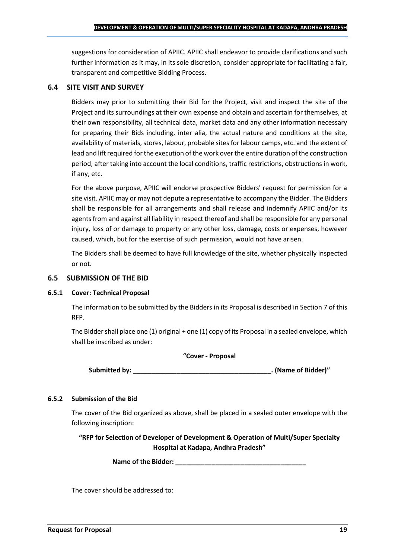suggestions for consideration of APIIC. APIIC shall endeavor to provide clarifications and such further information as it may, in its sole discretion, consider appropriate for facilitating a fair, transparent and competitive Bidding Process.

### **6.4 SITE VISIT AND SURVEY**

Bidders may prior to submitting their Bid for the Project, visit and inspect the site of the Project and its surroundings at their own expense and obtain and ascertain for themselves, at their own responsibility, all technical data, market data and any other information necessary for preparing their Bids including, inter alia, the actual nature and conditions at the site, availability of materials, stores, labour, probable sites for labour camps, etc. and the extent of lead and lift required for the execution of the work over the entire duration of the construction period, after taking into account the local conditions, traffic restrictions, obstructions in work, if any, etc.

For the above purpose, APIIC will endorse prospective Bidders' request for permission for a site visit. APIIC may or may not depute a representative to accompany the Bidder. The Bidders shall be responsible for all arrangements and shall release and indemnify APIIC and/or its agents from and against all liability in respect thereof and shall be responsible for any personal injury, loss of or damage to property or any other loss, damage, costs or expenses, however caused, which, but for the exercise of such permission, would not have arisen.

The Bidders shall be deemed to have full knowledge of the site, whether physically inspected or not.

#### **6.5 SUBMISSION OF THE BID**

#### **6.5.1 Cover: Technical Proposal**

The information to be submitted by the Bidders in its Proposal is described in Section 7 of this RFP.

The Bidder shall place one (1) original + one (1) copy of its Proposal in a sealed envelope, which shall be inscribed as under:

#### **"Cover - Proposal**

**Submitted by: \_\_\_\_\_\_\_\_\_\_\_\_\_\_\_\_\_\_\_\_\_\_\_\_\_\_\_\_\_\_\_\_\_\_\_\_\_\_. (Name of Bidder)"**

## **6.5.2 Submission of the Bid**

The cover of the Bid organized as above, shall be placed in a sealed outer envelope with the following inscription:

**"RFP for Selection of Developer of Development & Operation of Multi/Super Specialty Hospital at Kadapa, Andhra Pradesh"**

**Name of the Bidder: \_\_\_\_\_\_\_\_\_\_\_\_\_\_\_\_\_\_\_\_\_\_\_\_\_\_\_\_\_\_\_\_\_\_\_\_**

The cover should be addressed to: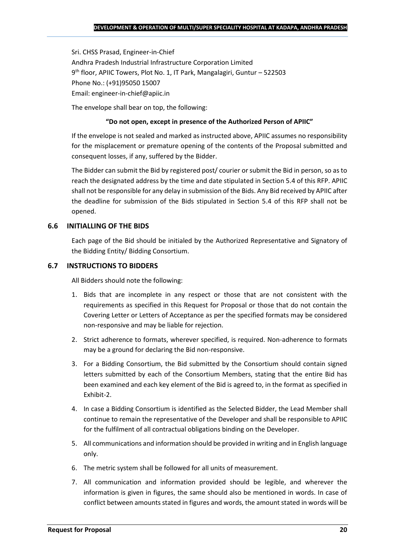Sri. CHSS Prasad, Engineer-in-Chief Andhra Pradesh Industrial Infrastructure Corporation Limited 9 th floor, APIIC Towers, Plot No. 1, IT Park, Mangalagiri, Guntur – 522503 Phone No.: (+91)95050 15007 Email: engineer-in-chief@apiic.in

The envelope shall bear on top, the following:

#### **"Do not open, except in presence of the Authorized Person of APIIC"**

If the envelope is not sealed and marked as instructed above, APIIC assumes no responsibility for the misplacement or premature opening of the contents of the Proposal submitted and consequent losses, if any, suffered by the Bidder.

The Bidder can submit the Bid by registered post/ courier or submit the Bid in person, so as to reach the designated address by the time and date stipulated in Section 5.4 of this RFP. APIIC shall not be responsible for any delay in submission of the Bids. Any Bid received by APIIC after the deadline for submission of the Bids stipulated in Section 5.4 of this RFP shall not be opened.

## **6.6 INITIALLING OF THE BIDS**

Each page of the Bid should be initialed by the Authorized Representative and Signatory of the Bidding Entity/ Bidding Consortium.

#### **6.7 INSTRUCTIONS TO BIDDERS**

All Bidders should note the following:

- 1. Bids that are incomplete in any respect or those that are not consistent with the requirements as specified in this Request for Proposal or those that do not contain the Covering Letter or Letters of Acceptance as per the specified formats may be considered non-responsive and may be liable for rejection.
- 2. Strict adherence to formats, wherever specified, is required. Non-adherence to formats may be a ground for declaring the Bid non-responsive.
- 3. For a Bidding Consortium, the Bid submitted by the Consortium should contain signed letters submitted by each of the Consortium Members, stating that the entire Bid has been examined and each key element of the Bid is agreed to, in the format as specified in Exhibit-2.
- 4. In case a Bidding Consortium is identified as the Selected Bidder, the Lead Member shall continue to remain the representative of the Developer and shall be responsible to APIIC for the fulfilment of all contractual obligations binding on the Developer.
- 5. All communications and information should be provided in writing and in English language only.
- 6. The metric system shall be followed for all units of measurement.
- 7. All communication and information provided should be legible, and wherever the information is given in figures, the same should also be mentioned in words. In case of conflict between amounts stated in figures and words, the amount stated in words will be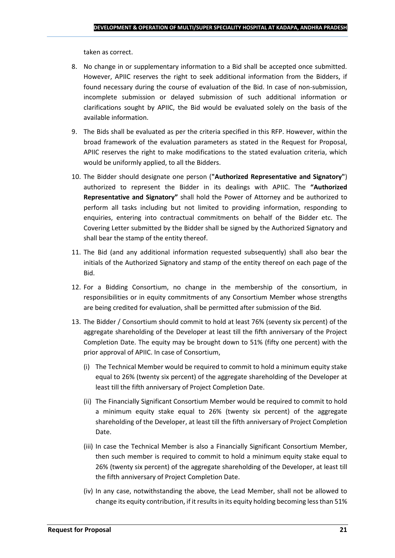taken as correct.

- 8. No change in or supplementary information to a Bid shall be accepted once submitted. However, APIIC reserves the right to seek additional information from the Bidders, if found necessary during the course of evaluation of the Bid. In case of non-submission, incomplete submission or delayed submission of such additional information or clarifications sought by APIIC, the Bid would be evaluated solely on the basis of the available information.
- 9. The Bids shall be evaluated as per the criteria specified in this RFP. However, within the broad framework of the evaluation parameters as stated in the Request for Proposal, APIIC reserves the right to make modifications to the stated evaluation criteria, which would be uniformly applied, to all the Bidders.
- 10. The Bidder should designate one person (**"Authorized Representative and Signatory"**) authorized to represent the Bidder in its dealings with APIIC. The **"Authorized Representative and Signatory"** shall hold the Power of Attorney and be authorized to perform all tasks including but not limited to providing information, responding to enquiries, entering into contractual commitments on behalf of the Bidder etc. The Covering Letter submitted by the Bidder shall be signed by the Authorized Signatory and shall bear the stamp of the entity thereof.
- 11. The Bid (and any additional information requested subsequently) shall also bear the initials of the Authorized Signatory and stamp of the entity thereof on each page of the Bid.
- 12. For a Bidding Consortium, no change in the membership of the consortium, in responsibilities or in equity commitments of any Consortium Member whose strengths are being credited for evaluation, shall be permitted after submission of the Bid.
- 13. The Bidder / Consortium should commit to hold at least 76% (seventy six percent) of the aggregate shareholding of the Developer at least till the fifth anniversary of the Project Completion Date. The equity may be brought down to 51% (fifty one percent) with the prior approval of APIIC. In case of Consortium,
	- (i) The Technical Member would be required to commit to hold a minimum equity stake equal to 26% (twenty six percent) of the aggregate shareholding of the Developer at least till the fifth anniversary of Project Completion Date.
	- (ii) The Financially Significant Consortium Member would be required to commit to hold a minimum equity stake equal to 26% (twenty six percent) of the aggregate shareholding of the Developer, at least till the fifth anniversary of Project Completion Date.
	- (iii) In case the Technical Member is also a Financially Significant Consortium Member, then such member is required to commit to hold a minimum equity stake equal to 26% (twenty six percent) of the aggregate shareholding of the Developer, at least till the fifth anniversary of Project Completion Date.
	- (iv) In any case, notwithstanding the above, the Lead Member, shall not be allowed to change its equity contribution, if it results in its equity holding becoming less than 51%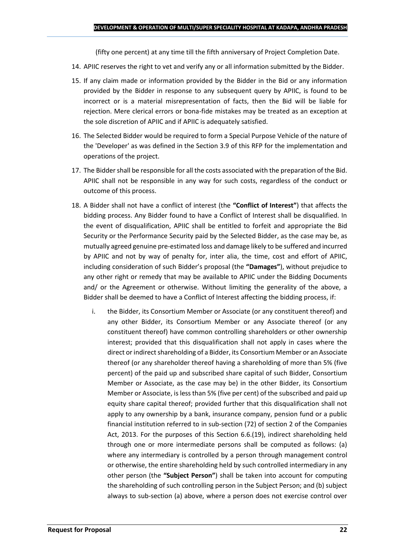(fifty one percent) at any time till the fifth anniversary of Project Completion Date.

- 14. APIIC reserves the right to vet and verify any or all information submitted by the Bidder.
- 15. If any claim made or information provided by the Bidder in the Bid or any information provided by the Bidder in response to any subsequent query by APIIC, is found to be incorrect or is a material misrepresentation of facts, then the Bid will be liable for rejection. Mere clerical errors or bona-fide mistakes may be treated as an exception at the sole discretion of APIIC and if APIIC is adequately satisfied.
- 16. The Selected Bidder would be required to form a Special Purpose Vehicle of the nature of the 'Developer' as was defined in the Section 3.9 of this RFP for the implementation and operations of the project.
- 17. The Bidder shall be responsible for all the costs associated with the preparation of the Bid. APIIC shall not be responsible in any way for such costs, regardless of the conduct or outcome of this process.
- 18. A Bidder shall not have a conflict of interest (the **"Conflict of Interest"**) that affects the bidding process. Any Bidder found to have a Conflict of Interest shall be disqualified. In the event of disqualification, APIIC shall be entitled to forfeit and appropriate the Bid Security or the Performance Security paid by the Selected Bidder, as the case may be, as mutually agreed genuine pre-estimated loss and damage likely to be suffered and incurred by APIIC and not by way of penalty for, inter alia, the time, cost and effort of APIIC, including consideration of such Bidder's proposal (the **"Damages"**), without prejudice to any other right or remedy that may be available to APIIC under the Bidding Documents and/ or the Agreement or otherwise. Without limiting the generality of the above, a Bidder shall be deemed to have a Conflict of Interest affecting the bidding process, if:
	- i. the Bidder, its Consortium Member or Associate (or any constituent thereof) and any other Bidder, its Consortium Member or any Associate thereof (or any constituent thereof) have common controlling shareholders or other ownership interest; provided that this disqualification shall not apply in cases where the direct or indirect shareholding of a Bidder, its Consortium Member or an Associate thereof (or any shareholder thereof having a shareholding of more than 5% (five percent) of the paid up and subscribed share capital of such Bidder, Consortium Member or Associate, as the case may be) in the other Bidder, its Consortium Member or Associate, is less than 5% (five per cent) of the subscribed and paid up equity share capital thereof; provided further that this disqualification shall not apply to any ownership by a bank, insurance company, pension fund or a public financial institution referred to in sub-section (72) of section 2 of the Companies Act, 2013. For the purposes of this Section 6.6.(19), indirect shareholding held through one or more intermediate persons shall be computed as follows: (a) where any intermediary is controlled by a person through management control or otherwise, the entire shareholding held by such controlled intermediary in any other person (the **"Subject Person"**) shall be taken into account for computing the shareholding of such controlling person in the Subject Person; and (b) subject always to sub-section (a) above, where a person does not exercise control over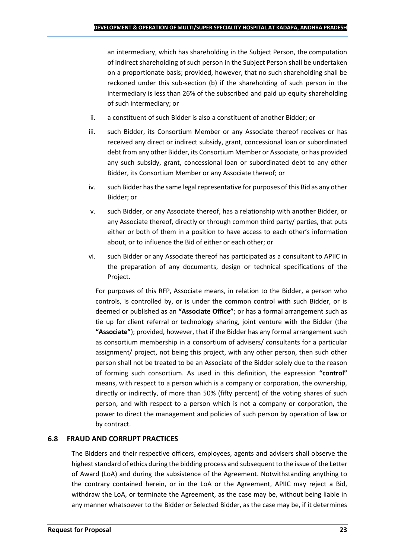an intermediary, which has shareholding in the Subject Person, the computation of indirect shareholding of such person in the Subject Person shall be undertaken on a proportionate basis; provided, however, that no such shareholding shall be reckoned under this sub-section (b) if the shareholding of such person in the intermediary is less than 26% of the subscribed and paid up equity shareholding of such intermediary; or

- ii. a constituent of such Bidder is also a constituent of another Bidder; or
- iii. such Bidder, its Consortium Member or any Associate thereof receives or has received any direct or indirect subsidy, grant, concessional loan or subordinated debt from any other Bidder, its Consortium Member or Associate, or has provided any such subsidy, grant, concessional loan or subordinated debt to any other Bidder, its Consortium Member or any Associate thereof; or
- iv. such Bidder has the same legal representative for purposes of this Bid as any other Bidder; or
- v. such Bidder, or any Associate thereof, has a relationship with another Bidder, or any Associate thereof, directly or through common third party/ parties, that puts either or both of them in a position to have access to each other's information about, or to influence the Bid of either or each other; or
- vi. such Bidder or any Associate thereof has participated as a consultant to APIIC in the preparation of any documents, design or technical specifications of the Project.

For purposes of this RFP, Associate means, in relation to the Bidder, a person who controls, is controlled by, or is under the common control with such Bidder, or is deemed or published as an **"Associate Office"**; or has a formal arrangement such as tie up for client referral or technology sharing, joint venture with the Bidder (the **"Associate"**); provided, however, that if the Bidder has any formal arrangement such as consortium membership in a consortium of advisers/ consultants for a particular assignment/ project, not being this project, with any other person, then such other person shall not be treated to be an Associate of the Bidder solely due to the reason of forming such consortium. As used in this definition, the expression **"control"**  means, with respect to a person which is a company or corporation, the ownership, directly or indirectly, of more than 50% (fifty percent) of the voting shares of such person, and with respect to a person which is not a company or corporation, the power to direct the management and policies of such person by operation of law or by contract.

## **6.8 FRAUD AND CORRUPT PRACTICES**

The Bidders and their respective officers, employees, agents and advisers shall observe the highest standard of ethics during the bidding process and subsequent to the issue of the Letter of Award (LoA) and during the subsistence of the Agreement. Notwithstanding anything to the contrary contained herein, or in the LoA or the Agreement, APIIC may reject a Bid, withdraw the LoA, or terminate the Agreement, as the case may be, without being liable in any manner whatsoever to the Bidder or Selected Bidder, as the case may be, if it determines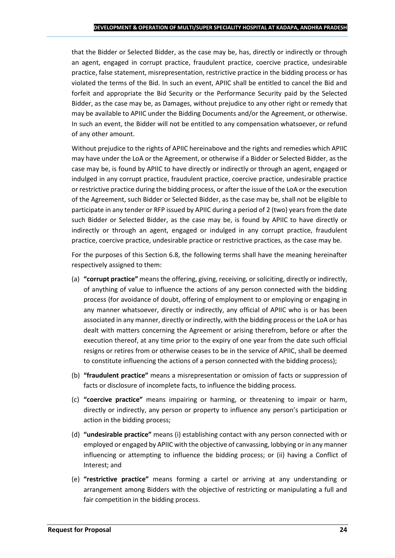that the Bidder or Selected Bidder, as the case may be, has, directly or indirectly or through an agent, engaged in corrupt practice, fraudulent practice, coercive practice, undesirable practice, false statement, misrepresentation, restrictive practice in the bidding process or has violated the terms of the Bid. In such an event, APIIC shall be entitled to cancel the Bid and forfeit and appropriate the Bid Security or the Performance Security paid by the Selected Bidder, as the case may be, as Damages, without prejudice to any other right or remedy that may be available to APIIC under the Bidding Documents and/or the Agreement, or otherwise. In such an event, the Bidder will not be entitled to any compensation whatsoever, or refund of any other amount.

Without prejudice to the rights of APIIC hereinabove and the rights and remedies which APIIC may have under the LoA or the Agreement, or otherwise if a Bidder or Selected Bidder, as the case may be, is found by APIIC to have directly or indirectly or through an agent, engaged or indulged in any corrupt practice, fraudulent practice, coercive practice, undesirable practice or restrictive practice during the bidding process, or after the issue of the LoA or the execution of the Agreement, such Bidder or Selected Bidder, as the case may be, shall not be eligible to participate in any tender or RFP issued by APIIC during a period of 2 (two) years from the date such Bidder or Selected Bidder, as the case may be, is found by APIIC to have directly or indirectly or through an agent, engaged or indulged in any corrupt practice, fraudulent practice, coercive practice, undesirable practice or restrictive practices, as the case may be.

For the purposes of this Section 6.8, the following terms shall have the meaning hereinafter respectively assigned to them:

- (a) **"corrupt practice"** means the offering, giving, receiving, or soliciting, directly or indirectly, of anything of value to influence the actions of any person connected with the bidding process (for avoidance of doubt, offering of employment to or employing or engaging in any manner whatsoever, directly or indirectly, any official of APIIC who is or has been associated in any manner, directly or indirectly, with the bidding process or the LoA or has dealt with matters concerning the Agreement or arising therefrom, before or after the execution thereof, at any time prior to the expiry of one year from the date such official resigns or retires from or otherwise ceases to be in the service of APIIC, shall be deemed to constitute influencing the actions of a person connected with the bidding process);
- (b) **"fraudulent practice"** means a misrepresentation or omission of facts or suppression of facts or disclosure of incomplete facts, to influence the bidding process.
- (c) **"coercive practice"** means impairing or harming, or threatening to impair or harm, directly or indirectly, any person or property to influence any person's participation or action in the bidding process;
- (d) **"undesirable practice"** means (i) establishing contact with any person connected with or employed or engaged by APIIC with the objective of canvassing, lobbying or in any manner influencing or attempting to influence the bidding process; or (ii) having a Conflict of Interest; and
- (e) **"restrictive practice"** means forming a cartel or arriving at any understanding or arrangement among Bidders with the objective of restricting or manipulating a full and fair competition in the bidding process.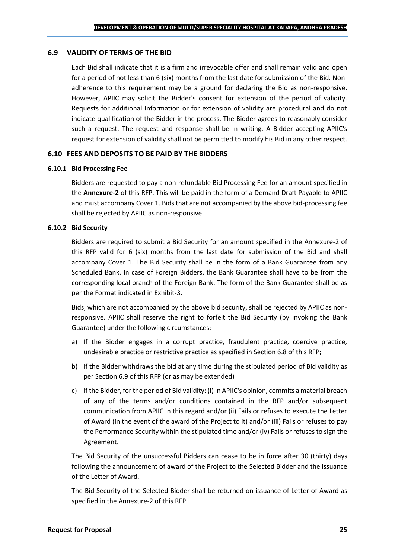#### **6.9 VALIDITY OF TERMS OF THE BID**

Each Bid shall indicate that it is a firm and irrevocable offer and shall remain valid and open for a period of not less than 6 (six) months from the last date for submission of the Bid. Nonadherence to this requirement may be a ground for declaring the Bid as non-responsive. However, APIIC may solicit the Bidder's consent for extension of the period of validity. Requests for additional Information or for extension of validity are procedural and do not indicate qualification of the Bidder in the process. The Bidder agrees to reasonably consider such a request. The request and response shall be in writing. A Bidder accepting APIIC's request for extension of validity shall not be permitted to modify his Bid in any other respect.

#### **6.10 FEES AND DEPOSITS TO BE PAID BY THE BIDDERS**

#### **6.10.1 Bid Processing Fee**

Bidders are requested to pay a non-refundable Bid Processing Fee for an amount specified in the **Annexure-2** of this RFP. This will be paid in the form of a Demand Draft Payable to APIIC and must accompany Cover 1. Bids that are not accompanied by the above bid-processing fee shall be rejected by APIIC as non-responsive.

#### **6.10.2 Bid Security**

Bidders are required to submit a Bid Security for an amount specified in the Annexure-2 of this RFP valid for 6 (six) months from the last date for submission of the Bid and shall accompany Cover 1. The Bid Security shall be in the form of a Bank Guarantee from any Scheduled Bank. In case of Foreign Bidders, the Bank Guarantee shall have to be from the corresponding local branch of the Foreign Bank. The form of the Bank Guarantee shall be as per the Format indicated in Exhibit-3.

Bids, which are not accompanied by the above bid security, shall be rejected by APIIC as nonresponsive. APIIC shall reserve the right to forfeit the Bid Security (by invoking the Bank Guarantee) under the following circumstances:

- a) If the Bidder engages in a corrupt practice, fraudulent practice, coercive practice, undesirable practice or restrictive practice as specified in Section 6.8 of this RFP;
- b) If the Bidder withdraws the bid at any time during the stipulated period of Bid validity as per Section 6.9 of this RFP (or as may be extended)
- c) If the Bidder, for the period of Bid validity: (i) In APIIC's opinion, commits a material breach of any of the terms and/or conditions contained in the RFP and/or subsequent communication from APIIC in this regard and/or (ii) Fails or refuses to execute the Letter of Award (in the event of the award of the Project to it) and/or (iii) Fails or refuses to pay the Performance Security within the stipulated time and/or (iv) Fails or refuses to sign the Agreement.

The Bid Security of the unsuccessful Bidders can cease to be in force after 30 (thirty) days following the announcement of award of the Project to the Selected Bidder and the issuance of the Letter of Award.

The Bid Security of the Selected Bidder shall be returned on issuance of Letter of Award as specified in the Annexure-2 of this RFP.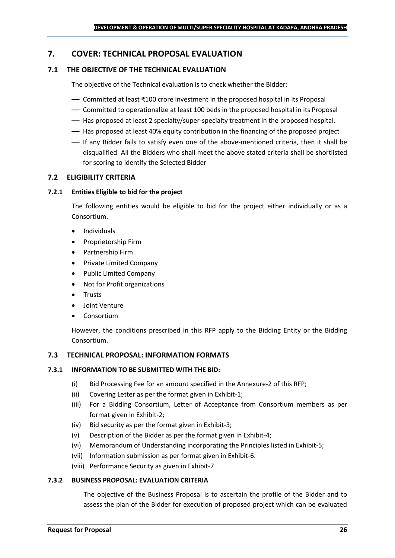## <span id="page-25-0"></span>**7. COVER: TECHNICAL PROPOSAL EVALUATION**

## **7.1 THE OBJECTIVE OF THE TECHNICAL EVALUATION**

The objective of the Technical evaluation is to check whether the Bidder:

- Committed at least ₹100 crore investment in the proposed hospital in its Proposal
- Committed to operationalize at least 100 beds in the proposed hospital in its Proposal
- Has proposed at least 2 specialty/super-specialty treatment in the proposed hospital.
- Has proposed at least 40% equity contribution in the financing of the proposed project
- If any Bidder fails to satisfy even one of the above-mentioned criteria, then it shall be disqualified. All the Bidders who shall meet the above stated criteria shall be shortlisted for scoring to identify the Selected Bidder

#### **7.2 ELIGIBILITY CRITERIA**

#### **7.2.1 Entities Eligible to bid for the project**

The following entities would be eligible to bid for the project either individually or as a Consortium.

- Individuals
- Proprietorship Firm
- Partnership Firm
- Private Limited Company
- Public Limited Company
- Not for Profit organizations
- Trusts
- Joint Venture
- **Consortium**

However, the conditions prescribed in this RFP apply to the Bidding Entity or the Bidding Consortium.

#### **7.3 TECHNICAL PROPOSAL: INFORMATION FORMATS**

#### **7.3.1 INFORMATION TO BE SUBMITTED WITH THE BID:**

- (i) Bid Processing Fee for an amount specified in the Annexure-2 of this RFP;
- (ii) Covering Letter as per the format given in Exhibit-1;
- (iii) For a Bidding Consortium, Letter of Acceptance from Consortium members as per format given in Exhibit-2;
- (iv) Bid security as per the format given in Exhibit-3;
- (v) Description of the Bidder as per the format given in Exhibit-4;
- (vi) Memorandum of Understanding incorporating the Principles listed in Exhibit-5;
- (vii) Information submission as per format given in Exhibit-6.
- (viii) Performance Security as given in Exhibit-7

#### **7.3.2 BUSINESS PROPOSAL: EVALUATION CRITERIA**

The objective of the Business Proposal is to ascertain the profile of the Bidder and to assess the plan of the Bidder for execution of proposed project which can be evaluated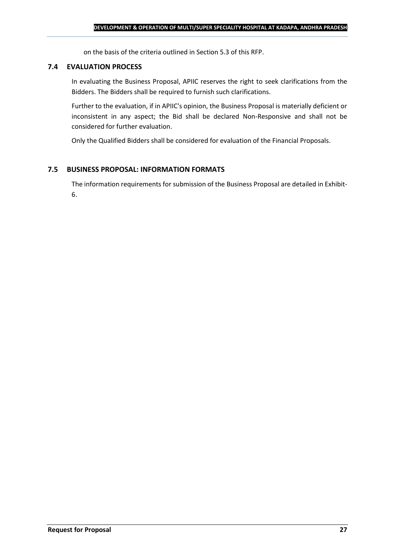on the basis of the criteria outlined in Section 5.3 of this RFP.

#### **7.4 EVALUATION PROCESS**

In evaluating the Business Proposal, APIIC reserves the right to seek clarifications from the Bidders. The Bidders shall be required to furnish such clarifications.

Further to the evaluation, if in APIIC's opinion, the Business Proposal is materially deficient or inconsistent in any aspect; the Bid shall be declared Non-Responsive and shall not be considered for further evaluation.

Only the Qualified Bidders shall be considered for evaluation of the Financial Proposals.

## **7.5 BUSINESS PROPOSAL: INFORMATION FORMATS**

The information requirements for submission of the Business Proposal are detailed in Exhibit-6.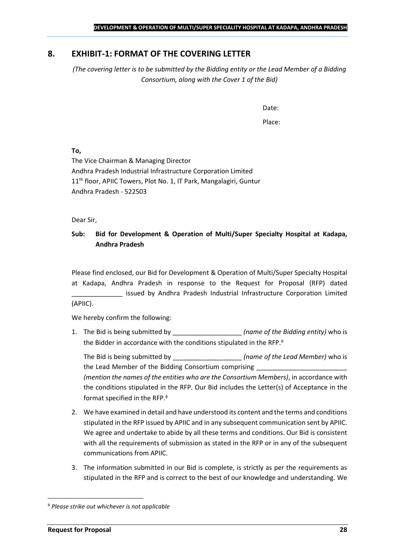## <span id="page-27-0"></span>**8. EXHIBIT-1: FORMAT OF THE COVERING LETTER**

*(The covering letter is to be submitted by the Bidding entity or the Lead Member of a Bidding Consortium, along with the Cover 1 of the Bid)*

Date:

Place:

**To,**

The Vice Chairman & Managing Director Andhra Pradesh Industrial Infrastructure Corporation Limited 11<sup>th</sup> floor, APIIC Towers, Plot No. 1, IT Park, Mangalagiri, Guntur Andhra Pradesh - 522503

Dear Sir,

## **Sub: Bid for Development & Operation of Multi/Super Specialty Hospital at Kadapa, Andhra Pradesh**

Please find enclosed, our Bid for Development & Operation of Multi/Super Specialty Hospital at Kadapa, Andhra Pradesh in response to the Request for Proposal (RFP) dated issued by Andhra Pradesh Industrial Infrastructure Corporation Limited (APIIC).

We hereby confirm the following:

1. The Bid is being submitted by **the intervalle in the Sidding entity**) who is the Bidder in accordance with the conditions stipulated in the RFP.

The Bid is being submitted by **the inclusive in the Solution Contract Contract Contract Contract Contract Contract Contract Contract Contract Contract Contract Contract Contract Contract Contract Contract Contract Contract** the Lead Member of the Bidding Consortium comprising *(mention the names of the entities who are the Consortium Members)*, in accordance with the conditions stipulated in the RFP. Our Bid includes the Letter(s) of Acceptance in the format specified in the RFP.

- 2. We have examined in detail and have understood its content and the terms and conditions stipulated in the RFP issued by APIIC and in any subsequent communication sent by APIIC. We agree and undertake to abide by all these terms and conditions. Our Bid is consistent with all the requirements of submission as stated in the RFP or in any of the subsequent communications from APIIC.
- 3. The information submitted in our Bid is complete, is strictly as per the requirements as stipulated in the RFP and is correct to the best of our knowledge and understanding. We

*Please strike out whichever is not applicable*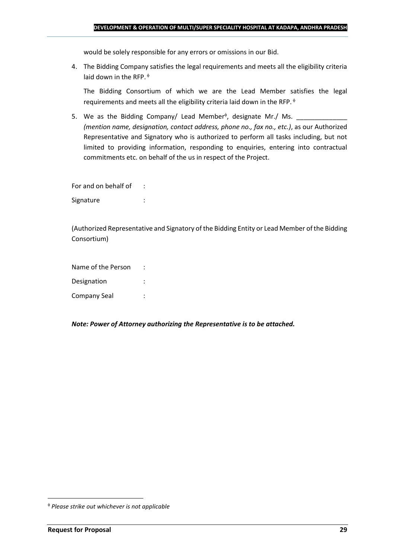would be solely responsible for any errors or omissions in our Bid.

4. The Bidding Company satisfies the legal requirements and meets all the eligibility criteria laid down in the RFP.  $\phi$ 

The Bidding Consortium of which we are the Lead Member satisfies the legal requirements and meets all the eligibility criteria laid down in the RFP.

5. We as the Bidding Company/ Lead Member<sup> $\phi$ </sup>, designate Mr./ Ms.  $\frac{1}{\sqrt{1-\frac{1}{2}}\sqrt{1-\frac{1}{2}}\sqrt{1-\frac{1}{2}}\sqrt{1-\frac{1}{2}}\sqrt{1-\frac{1}{2}}\sqrt{1-\frac{1}{2}}\sqrt{1-\frac{1}{2}}\sqrt{1-\frac{1}{2}}\sqrt{1-\frac{1}{2}}\sqrt{1-\frac{1}{2}}\sqrt{1-\frac{1}{2}}\sqrt{1-\frac{1}{2}}\sqrt{1-\frac{1}{2}}\sqrt{1$ *(mention name, designation, contact address, phone no., fax no., etc.)*, as our Authorized Representative and Signatory who is authorized to perform all tasks including, but not limited to providing information, responding to enquiries, entering into contractual commitments etc. on behalf of the us in respect of the Project.

For and on behalf of : Signature : the state of the state of the state of the state of the state of the state of the state of the state of the state of the state of the state of the state of the state of the state of the state of the state of th

(Authorized Representative and Signatory of the Bidding Entity or Lead Member of the Bidding Consortium)

Name of the Person : Designation : Company Seal :

*Note: Power of Attorney authorizing the Representative is to be attached.*

*Please strike out whichever is not applicable*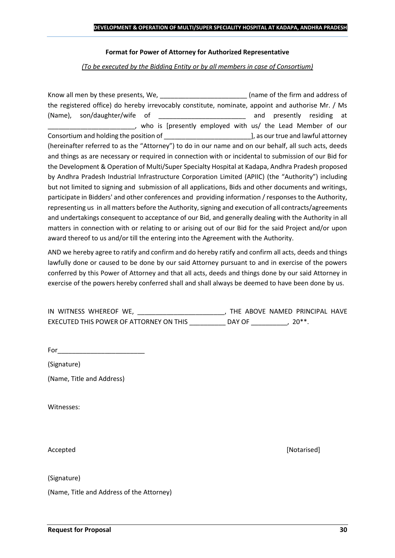#### **Format for Power of Attorney for Authorized Representative**

*(To be executed by the Bidding Entity or by all members in case of Consortium)*

Know all men by these presents, We, the state of the firm and address of the registered office) do hereby irrevocably constitute, nominate, appoint and authorise Mr. / Ms (Name), son/daughter/wife of \_\_\_\_\_\_\_\_\_\_\_\_\_\_\_\_\_\_\_\_\_\_\_\_ and presently residing at \_\_\_\_\_\_\_\_\_\_\_\_\_\_\_\_\_\_\_\_\_\_\_\_, who is [presently employed with us/ the Lead Member of our Consortium and holding the position of  $\Box$  . The position of  $\Box$  as our true and lawful attorney (hereinafter referred to as the "Attorney") to do in our name and on our behalf, all such acts, deeds and things as are necessary or required in connection with or incidental to submission of our Bid for the Development & Operation of Multi/Super Specialty Hospital at Kadapa, Andhra Pradesh proposed by Andhra Pradesh Industrial Infrastructure Corporation Limited (APIIC) (the "Authority") including but not limited to signing and submission of all applications, Bids and other documents and writings, participate in Bidders' and other conferences and providing information / responses to the Authority, representing us in all matters before the Authority, signing and execution of all contracts/agreements and undertakings consequent to acceptance of our Bid, and generally dealing with the Authority in all matters in connection with or relating to or arising out of our Bid for the said Project and/or upon award thereof to us and/or till the entering into the Agreement with the Authority.

AND we hereby agree to ratify and confirm and do hereby ratify and confirm all acts, deeds and things lawfully done or caused to be done by our said Attorney pursuant to and in exercise of the powers conferred by this Power of Attorney and that all acts, deeds and things done by our said Attorney in exercise of the powers hereby conferred shall and shall always be deemed to have been done by us.

| IN WITNESS WHEREOF WE,                  |        | THE ABOVE NAMED PRINCIPAL HAVE |  |
|-----------------------------------------|--------|--------------------------------|--|
| EXECUTED THIS POWER OF ATTORNEY ON THIS | DAY OF | $20**$                         |  |

For  $\qquad$ 

(Signature)

(Name, Title and Address)

Witnesses:

(Signature)

(Name, Title and Address of the Attorney)

Accepted **[Notarised] Accepted** *Maximum Maximum Maximum Maximum Maximum <i>Maximum Maximum Maximum <i>Maximum Maximum Maximum <i>Maximum Maximum Maximum <i>Maximum Maximum*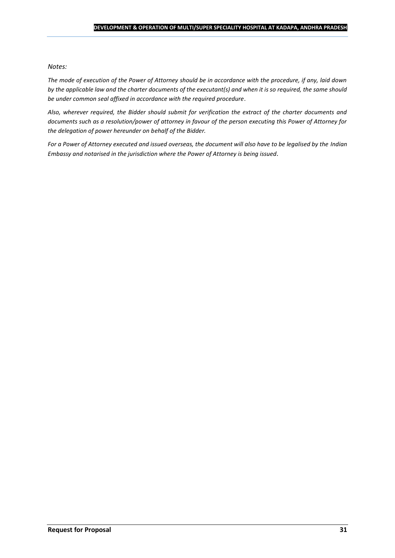#### *Notes:*

*The mode of execution of the Power of Attorney should be in accordance with the procedure, if any, laid down by the applicable law and the charter documents of the executant(s) and when it is so required, the same should be under common seal affixed in accordance with the required procedure*.

*Also, wherever required, the Bidder should submit for verification the extract of the charter documents and documents such as a resolution/power of attorney in favour of the person executing this Power of Attorney for the delegation of power hereunder on behalf of the Bidder.* 

For a Power of Attorney executed and issued overseas, the document will also have to be legalised by the *Indian Embassy and notarised in the jurisdiction where the Power of Attorney is being issued.*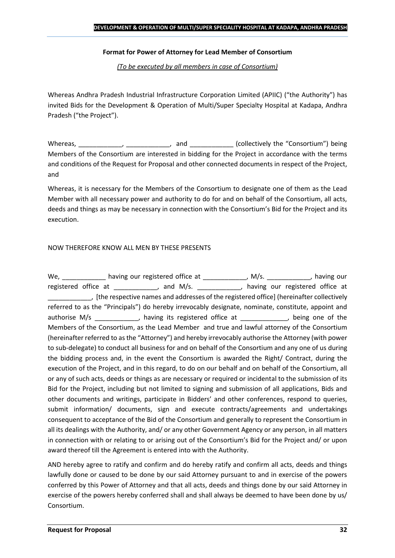#### **Format for Power of Attorney for Lead Member of Consortium**

*(To be executed by all members in case of Consortium)*

Whereas Andhra Pradesh Industrial Infrastructure Corporation Limited (APIIC) ("the Authority") has invited Bids for the Development & Operation of Multi/Super Specialty Hospital at Kadapa, Andhra Pradesh ("the Project").

Whereas, \_\_\_\_\_\_\_\_\_\_\_\_, \_\_\_\_\_\_\_\_\_\_\_, and \_\_\_\_\_\_\_\_\_\_\_\_ (collectively the "Consortium") being Members of the Consortium are interested in bidding for the Project in accordance with the terms and conditions of the Request for Proposal and other connected documents in respect of the Project, and

Whereas, it is necessary for the Members of the Consortium to designate one of them as the Lead Member with all necessary power and authority to do for and on behalf of the Consortium, all acts, deeds and things as may be necessary in connection with the Consortium's Bid for the Project and its execution.

#### NOW THEREFORE KNOW ALL MEN BY THESE PRESENTS

We, \_\_\_\_\_\_\_\_\_\_\_\_\_ having our registered office at \_\_\_\_\_\_\_\_\_\_\_\_\_, M/s. \_\_\_\_\_\_\_\_\_\_\_, having our registered office at \_\_\_\_\_\_\_\_\_\_\_, and M/s. \_\_\_\_\_\_\_\_\_\_\_, having our registered office at \_\_\_\_\_\_\_\_\_\_\_\_, [the respective names and addresses of the registered office] (hereinafter collectively referred to as the "Principals") do hereby irrevocably designate, nominate, constitute, appoint and authorise M/s \_\_\_\_\_\_\_\_\_\_\_, having its registered office at \_\_\_\_\_\_\_\_\_\_\_, being one of the Members of the Consortium, as the Lead Member and true and lawful attorney of the Consortium (hereinafter referred to as the "Attorney") and hereby irrevocably authorise the Attorney (with power to sub-delegate) to conduct all business for and on behalf of the Consortium and any one of us during the bidding process and, in the event the Consortium is awarded the Right/ Contract, during the execution of the Project, and in this regard, to do on our behalf and on behalf of the Consortium, all or any of such acts, deeds or things as are necessary or required or incidental to the submission of its Bid for the Project, including but not limited to signing and submission of all applications, Bids and other documents and writings, participate in Bidders' and other conferences, respond to queries, submit information/ documents, sign and execute contracts/agreements and undertakings consequent to acceptance of the Bid of the Consortium and generally to represent the Consortium in all its dealings with the Authority, and/ or any other Government Agency or any person, in all matters in connection with or relating to or arising out of the Consortium's Bid for the Project and/ or upon award thereof till the Agreement is entered into with the Authority.

AND hereby agree to ratify and confirm and do hereby ratify and confirm all acts, deeds and things lawfully done or caused to be done by our said Attorney pursuant to and in exercise of the powers conferred by this Power of Attorney and that all acts, deeds and things done by our said Attorney in exercise of the powers hereby conferred shall and shall always be deemed to have been done by us/ Consortium.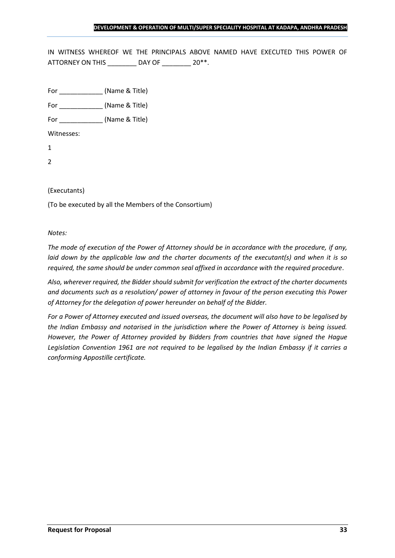IN WITNESS WHEREOF WE THE PRINCIPALS ABOVE NAMED HAVE EXECUTED THIS POWER OF ATTORNEY ON THIS \_\_\_\_\_\_\_\_ DAY OF \_\_\_\_\_\_\_ 20\*\*.

For \_\_\_\_\_\_\_\_\_\_\_\_ (Name & Title)

For  $(Name & Title)$ 

Witnesses:

1

2

#### (Executants)

(To be executed by all the Members of the Consortium)

#### *Notes:*

*The mode of execution of the Power of Attorney should be in accordance with the procedure, if any, laid down by the applicable law and the charter documents of the executant(s) and when it is so required, the same should be under common seal affixed in accordance with the required procedure*.

*Also, wherever required, the Bidder should submit for verification the extract of the charter documents and documents such as a resolution/ power of attorney in favour of the person executing this Power of Attorney for the delegation of power hereunder on behalf of the Bidder.* 

*For a Power of Attorney executed and issued overseas, the document will also have to be legalised by the Indian Embassy and notarised in the jurisdiction where the Power of Attorney is being issued. However, the Power of Attorney provided by Bidders from countries that have signed the Hague Legislation Convention 1961 are not required to be legalised by the Indian Embassy if it carries a conforming Appostille certificate.*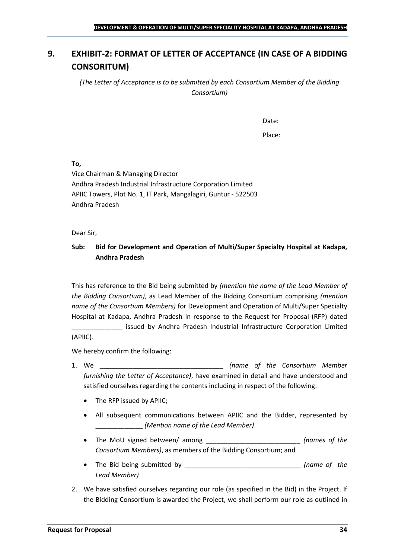## <span id="page-33-0"></span>**9. EXHIBIT-2: FORMAT OF LETTER OF ACCEPTANCE (IN CASE OF A BIDDING CONSORITUM)**

*(The Letter of Acceptance is to be submitted by each Consortium Member of the Bidding Consortium)*

Date:

Place:

**To,**

Vice Chairman & Managing Director Andhra Pradesh Industrial Infrastructure Corporation Limited APIIC Towers, Plot No. 1, IT Park, Mangalagiri, Guntur - 522503 Andhra Pradesh

Dear Sir,

## **Sub: Bid for Development and Operation of Multi/Super Specialty Hospital at Kadapa, Andhra Pradesh**

This has reference to the Bid being submitted by *(mention the name of the Lead Member of the Bidding Consortium)*, as Lead Member of the Bidding Consortium comprising *(mention name of the Consortium Members)* for Development and Operation of Multi/Super Specialty Hospital at Kadapa, Andhra Pradesh in response to the Request for Proposal (RFP) dated

\_\_\_\_\_\_\_\_\_\_\_\_\_\_ issued by Andhra Pradesh Industrial Infrastructure Corporation Limited (APIIC).

We hereby confirm the following:

- 1. We \_\_\_\_\_\_\_\_\_\_\_\_\_\_\_\_\_\_\_\_\_\_\_\_\_\_\_\_\_\_\_\_\_\_ *(name of the Consortium Member furnishing the Letter of Acceptance)*, have examined in detail and have understood and satisfied ourselves regarding the contents including in respect of the following:
	- The RFP issued by APIIC;
	- All subsequent communications between APIIC and the Bidder, represented by \_\_\_\_\_\_\_\_\_\_\_\_\_ *(Mention name of the Lead Member)*.
	- The MoU signed between/ among \_\_\_\_\_\_\_\_\_\_\_\_\_\_\_\_\_\_\_\_\_\_\_\_\_\_ *(names of the Consortium Members)*, as members of the Bidding Consortium; and
	- The Bid being submitted by \_\_\_\_\_\_\_\_\_\_\_\_\_\_\_\_\_\_\_\_\_\_\_\_\_\_\_\_\_\_\_\_ *(name of the Lead Member)*
- 2. We have satisfied ourselves regarding our role (as specified in the Bid) in the Project. If the Bidding Consortium is awarded the Project, we shall perform our role as outlined in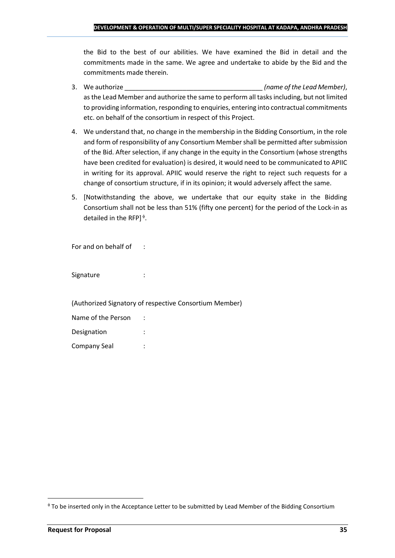the Bid to the best of our abilities. We have examined the Bid in detail and the commitments made in the same. We agree and undertake to abide by the Bid and the commitments made therein.

- 3. We authorize \_\_\_\_\_\_\_\_\_\_\_\_\_\_\_\_\_\_\_\_\_\_\_\_\_\_\_\_\_\_\_\_\_\_\_\_\_\_ *(name of the Lead Member)*, as the Lead Member and authorize the same to perform all tasks including, but not limited to providing information, responding to enquiries, entering into contractual commitments etc. on behalf of the consortium in respect of this Project.
- 4. We understand that, no change in the membership in the Bidding Consortium, in the role and form of responsibility of any Consortium Member shall be permitted after submission of the Bid. After selection, if any change in the equity in the Consortium (whose strengths have been credited for evaluation) is desired, it would need to be communicated to APIIC in writing for its approval. APIIC would reserve the right to reject such requests for a change of consortium structure, if in its opinion; it would adversely affect the same.
- 5. [Notwithstanding the above, we undertake that our equity stake in the Bidding Consortium shall not be less than 51% (fifty one percent) for the period of the Lock-in as detailed in the RFP] $\triangleq$ .

For and on behalf of :

Signature : :

(Authorized Signatory of respective Consortium Member)

| Name of the Person |  |
|--------------------|--|
| Designation        |  |
| Company Seal       |  |

To be inserted only in the Acceptance Letter to be submitted by Lead Member of the Bidding Consortium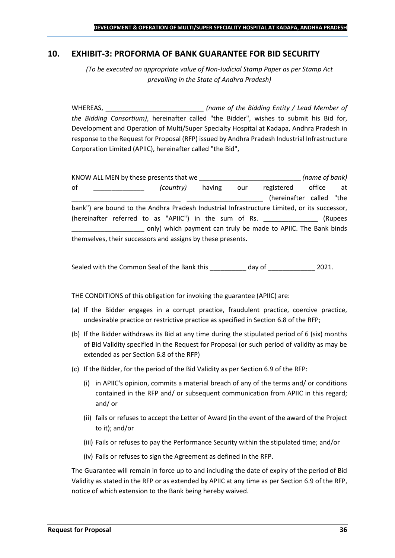## <span id="page-35-0"></span>**10. EXHIBIT-3: PROFORMA OF BANK GUARANTEE FOR BID SECURITY**

*(To be executed on appropriate value of Non-Judicial Stamp Paper as per Stamp Act prevailing in the State of Andhra Pradesh)*

WHEREAS, \_\_\_\_\_\_\_\_\_\_\_\_\_\_\_\_\_\_\_\_\_\_\_\_\_\_\_ *(name of the Bidding Entity / Lead Member of the Bidding Consortium)*, hereinafter called "the Bidder", wishes to submit his Bid for, Development and Operation of Multi/Super Specialty Hospital at Kadapa, Andhra Pradesh in response to the Request for Proposal (RFP) issued by Andhra Pradesh Industrial Infrastructure Corporation Limited (APIIC), hereinafter called "the Bid",

KNOW ALL MEN by these presents that we \_\_\_\_\_\_\_\_\_\_\_\_\_\_\_\_\_\_\_\_\_\_\_\_\_\_\_\_ *(name of bank)* of \_\_\_\_\_\_\_\_\_\_\_\_\_\_ *(country)* having our registered office at (hereinafter called "the bank") are bound to the Andhra Pradesh Industrial Infrastructure Limited, or its successor, (hereinafter referred to as "APIIC") in the sum of Rs. \_\_\_\_\_\_\_\_\_\_\_\_\_\_\_ (Rupees \_\_\_\_\_\_\_\_\_\_\_\_\_\_\_\_\_\_\_\_ only) which payment can truly be made to APIIC. The Bank binds themselves, their successors and assigns by these presents.

Sealed with the Common Seal of the Bank this day of  $\qquad \qquad$  2021.

THE CONDITIONS of this obligation for invoking the guarantee (APIIC) are:

- (a) If the Bidder engages in a corrupt practice, fraudulent practice, coercive practice, undesirable practice or restrictive practice as specified in Section 6.8 of the RFP;
- (b) If the Bidder withdraws its Bid at any time during the stipulated period of 6 (six) months of Bid Validity specified in the Request for Proposal (or such period of validity as may be extended as per Section 6.8 of the RFP)
- (c) If the Bidder, for the period of the Bid Validity as per Section 6.9 of the RFP:
	- (i) in APIIC's opinion, commits a material breach of any of the terms and/ or conditions contained in the RFP and/ or subsequent communication from APIIC in this regard; and/ or
	- (ii) fails or refuses to accept the Letter of Award (in the event of the award of the Project to it); and/or
	- (iii) Fails or refuses to pay the Performance Security within the stipulated time; and/or
	- (iv) Fails or refuses to sign the Agreement as defined in the RFP.

The Guarantee will remain in force up to and including the date of expiry of the period of Bid Validity as stated in the RFP or as extended by APIIC at any time as per Section 6.9 of the RFP, notice of which extension to the Bank being hereby waived.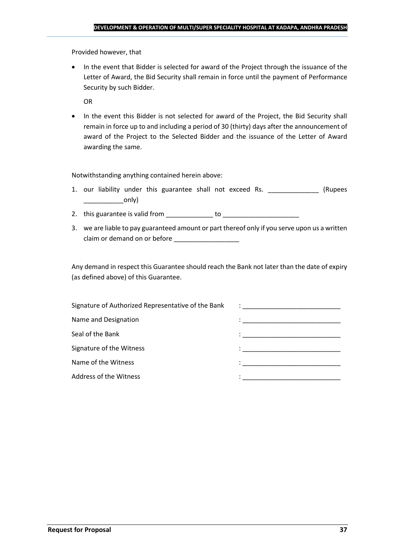Provided however, that

• In the event that Bidder is selected for award of the Project through the issuance of the Letter of Award, the Bid Security shall remain in force until the payment of Performance Security by such Bidder.

OR

• In the event this Bidder is not selected for award of the Project, the Bid Security shall remain in force up to and including a period of 30 (thirty) days after the announcement of award of the Project to the Selected Bidder and the issuance of the Letter of Award awarding the same.

Notwithstanding anything contained herein above:

- 1. our liability under this guarantee shall not exceed Rs. \_\_\_\_\_\_\_\_\_\_\_\_\_\_\_ (Rupees  $\begin{array}{c} \begin{array}{c} \begin{array}{c} \end{array} \end{array}$
- 2. this guarantee is valid from to be to to to the state of the state of the state of the state of the state o
- 3. we are liable to pay guaranteed amount or part thereof only if you serve upon us a written claim or demand on or before

Any demand in respect this Guarantee should reach the Bank not later than the date of expiry (as defined above) of this Guarantee.

| Signature of Authorized Representative of the Bank | $\mathcal{L}=\frac{1}{\sqrt{2\pi}}\left\{ \frac{1}{\sqrt{2\pi}}\right\}$                                                              |
|----------------------------------------------------|---------------------------------------------------------------------------------------------------------------------------------------|
| Name and Designation                               | the contract of the contract of the contract of the contract of the contract of the contract of                                       |
| Seal of the Bank                                   | the control of the control of the control of the control of the control of                                                            |
| Signature of the Witness                           |                                                                                                                                       |
| Name of the Witness                                | en de la componentación de la componentación de la componentación de la componentación de la componentación de<br>A la componentación |
| Address of the Witness                             |                                                                                                                                       |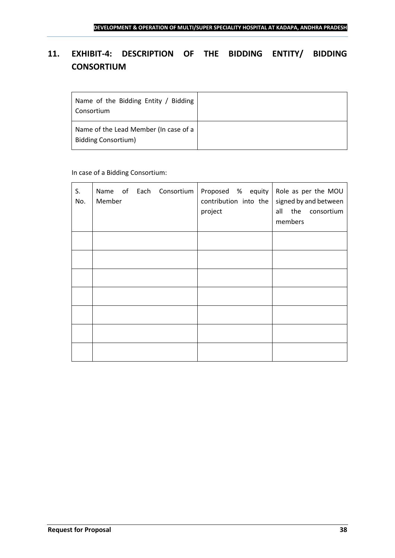## <span id="page-37-0"></span>**11. EXHIBIT-4: DESCRIPTION OF THE BIDDING ENTITY/ BIDDING CONSORTIUM**

| Name of the Bidding Entity / Bidding<br>Consortium                  |  |
|---------------------------------------------------------------------|--|
| Name of the Lead Member (In case of a<br><b>Bidding Consortium)</b> |  |

## In case of a Bidding Consortium:

| S.<br>No. | Member |  | Name of Each Consortium | Proposed $%$ equity Role as per the MOU<br>contribution into the<br>project | members | signed by and between<br>all the consortium |
|-----------|--------|--|-------------------------|-----------------------------------------------------------------------------|---------|---------------------------------------------|
|           |        |  |                         |                                                                             |         |                                             |
|           |        |  |                         |                                                                             |         |                                             |
|           |        |  |                         |                                                                             |         |                                             |
|           |        |  |                         |                                                                             |         |                                             |
|           |        |  |                         |                                                                             |         |                                             |
|           |        |  |                         |                                                                             |         |                                             |
|           |        |  |                         |                                                                             |         |                                             |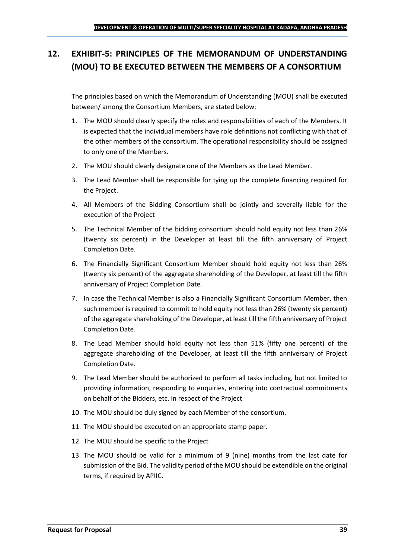## <span id="page-38-0"></span>**12. EXHIBIT-5: PRINCIPLES OF THE MEMORANDUM OF UNDERSTANDING (MOU) TO BE EXECUTED BETWEEN THE MEMBERS OF A CONSORTIUM**

The principles based on which the Memorandum of Understanding (MOU) shall be executed between/ among the Consortium Members, are stated below:

- 1. The MOU should clearly specify the roles and responsibilities of each of the Members. It is expected that the individual members have role definitions not conflicting with that of the other members of the consortium. The operational responsibility should be assigned to only one of the Members.
- 2. The MOU should clearly designate one of the Members as the Lead Member.
- 3. The Lead Member shall be responsible for tying up the complete financing required for the Project.
- 4. All Members of the Bidding Consortium shall be jointly and severally liable for the execution of the Project
- 5. The Technical Member of the bidding consortium should hold equity not less than 26% (twenty six percent) in the Developer at least till the fifth anniversary of Project Completion Date.
- 6. The Financially Significant Consortium Member should hold equity not less than 26% (twenty six percent) of the aggregate shareholding of the Developer, at least till the fifth anniversary of Project Completion Date.
- 7. In case the Technical Member is also a Financially Significant Consortium Member, then such member is required to commit to hold equity not less than 26% (twenty six percent) of the aggregate shareholding of the Developer, at least till the fifth anniversary of Project Completion Date.
- 8. The Lead Member should hold equity not less than 51% (fifty one percent) of the aggregate shareholding of the Developer, at least till the fifth anniversary of Project Completion Date.
- 9. The Lead Member should be authorized to perform all tasks including, but not limited to providing information, responding to enquiries, entering into contractual commitments on behalf of the Bidders, etc. in respect of the Project
- 10. The MOU should be duly signed by each Member of the consortium.
- 11. The MOU should be executed on an appropriate stamp paper.
- 12. The MOU should be specific to the Project
- 13. The MOU should be valid for a minimum of 9 (nine) months from the last date for submission of the Bid. The validity period of the MOU should be extendible on the original terms, if required by APIIC.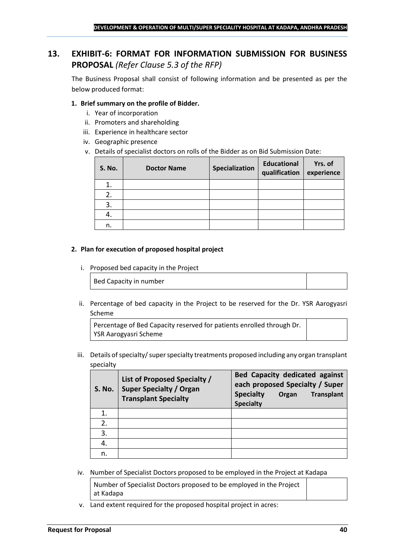## <span id="page-39-0"></span>**13. EXHIBIT-6: FORMAT FOR INFORMATION SUBMISSION FOR BUSINESS PROPOSAL** *(Refer Clause 5.3 of the RFP)*

The Business Proposal shall consist of following information and be presented as per the below produced format:

### **1. Brief summary on the profile of Bidder.**

- i. Year of incorporation
- ii. Promoters and shareholding
- iii. Experience in healthcare sector
- iv. Geographic presence
- v. Details of specialist doctors on rolls of the Bidder as on Bid Submission Date:

| <b>S. No.</b> | <b>Doctor Name</b> | Specialization | <b>Educational</b><br>qualification | Yrs. of<br>experience |
|---------------|--------------------|----------------|-------------------------------------|-----------------------|
|               |                    |                |                                     |                       |
| 2.            |                    |                |                                     |                       |
| 3.            |                    |                |                                     |                       |
| 4.            |                    |                |                                     |                       |
| n.            |                    |                |                                     |                       |

#### **2. Plan for execution of proposed hospital project**

i. Proposed bed capacity in the Project

Bed Capacity in number

ii. Percentage of bed capacity in the Project to be reserved for the Dr. YSR Aarogyasri Scheme

Percentage of Bed Capacity reserved for patients enrolled through Dr. YSR Aarogyasri Scheme

iii. Details of specialty/ super specialty treatments proposed including any organ transplant specialty

| <b>S. No.</b> | List of Proposed Specialty /<br><b>Super Specialty / Organ</b><br><b>Transplant Specialty</b> | <b>Bed Capacity dedicated against</b><br>each proposed Specialty / Super<br><b>Specialty</b><br><b>Transplant</b><br>Organ<br><b>Specialty</b> |
|---------------|-----------------------------------------------------------------------------------------------|------------------------------------------------------------------------------------------------------------------------------------------------|
|               |                                                                                               |                                                                                                                                                |
| 2.            |                                                                                               |                                                                                                                                                |
| 3.            |                                                                                               |                                                                                                                                                |
|               |                                                                                               |                                                                                                                                                |
| n.            |                                                                                               |                                                                                                                                                |

iv. Number of Specialist Doctors proposed to be employed in the Project at Kadapa

Number of Specialist Doctors proposed to be employed in the Project at Kadapa

v. Land extent required for the proposed hospital project in acres: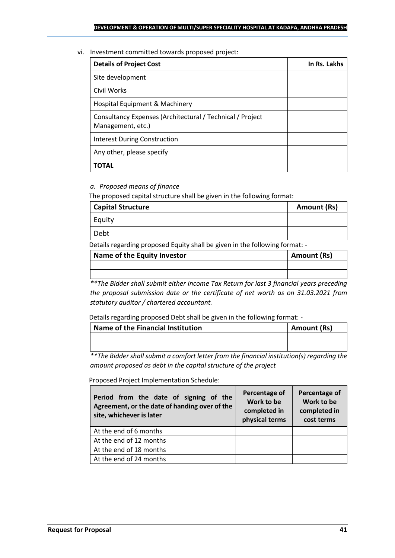#### vi. Investment committed towards proposed project:

| <b>Details of Project Cost</b>                                                 | In Rs. Lakhs |
|--------------------------------------------------------------------------------|--------------|
| Site development                                                               |              |
| Civil Works                                                                    |              |
| Hospital Equipment & Machinery                                                 |              |
| Consultancy Expenses (Architectural / Technical / Project<br>Management, etc.) |              |
| Interest During Construction                                                   |              |
| Any other, please specify                                                      |              |
| ΤΟΤΑL                                                                          |              |

## *a. Proposed means of finance*

The proposed capital structure shall be given in the following format:

| <b>Capital Structure</b> | <b>Amount (Rs)</b> |
|--------------------------|--------------------|
| Equity                   |                    |
| Debt                     |                    |
|                          |                    |

Details regarding proposed Equity shall be given in the following format: -

| Name of the Equity Investor | Amount (Rs) |
|-----------------------------|-------------|
|                             |             |
|                             |             |

*\*\*The Bidder shall submit either Income Tax Return for last 3 financial years preceding the proposal submission date or the certificate of net worth as on 31.03.2021 from statutory auditor / chartered accountant.*

Details regarding proposed Debt shall be given in the following format: -

| Name of the Financial Institution | Amount (Rs) |
|-----------------------------------|-------------|
|                                   |             |
|                                   |             |

*\*\*The Bidder shall submit a comfort letter from the financial institution(s) regarding the amount proposed as debt in the capital structure of the project*

Proposed Project Implementation Schedule:

| Period from the date of signing of the<br>Agreement, or the date of handing over of the<br>site, whichever is later | Percentage of<br>Work to be<br>completed in<br>physical terms | Percentage of<br>Work to be<br>completed in<br>cost terms |
|---------------------------------------------------------------------------------------------------------------------|---------------------------------------------------------------|-----------------------------------------------------------|
| At the end of 6 months                                                                                              |                                                               |                                                           |
| At the end of 12 months                                                                                             |                                                               |                                                           |
| At the end of 18 months                                                                                             |                                                               |                                                           |
| At the end of 24 months                                                                                             |                                                               |                                                           |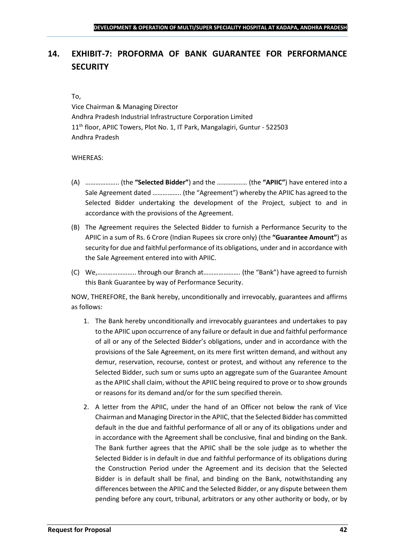## <span id="page-41-0"></span>**14. EXHIBIT-7: PROFORMA OF BANK GUARANTEE FOR PERFORMANCE SECURITY**

#### To,

Vice Chairman & Managing Director Andhra Pradesh Industrial Infrastructure Corporation Limited 11<sup>th</sup> floor, APIIC Towers, Plot No. 1, IT Park, Mangalagiri, Guntur - 522503 Andhra Pradesh

#### WHEREAS:

- (A) ……………….. (the **"Selected Bidder"**) and the ……………… (the **"APIIC"**) have entered into a Sale Agreement dated …………….. (the "Agreement") whereby the APIIC has agreed to the Selected Bidder undertaking the development of the Project, subject to and in accordance with the provisions of the Agreement.
- (B) The Agreement requires the Selected Bidder to furnish a Performance Security to the APIIC in a sum of Rs. 6 Crore (Indian Rupees six crore only) (the **"Guarantee Amount"**) as security for due and faithful performance of its obligations, under and in accordance with the Sale Agreement entered into with APIIC.
- (C) We,………………….. through our Branch at…………………. (the "Bank") have agreed to furnish this Bank Guarantee by way of Performance Security.

NOW, THEREFORE, the Bank hereby, unconditionally and irrevocably, guarantees and affirms as follows:

- 1. The Bank hereby unconditionally and irrevocably guarantees and undertakes to pay to the APIIC upon occurrence of any failure or default in due and faithful performance of all or any of the Selected Bidder's obligations, under and in accordance with the provisions of the Sale Agreement, on its mere first written demand, and without any demur, reservation, recourse, contest or protest, and without any reference to the Selected Bidder, such sum or sums upto an aggregate sum of the Guarantee Amount as the APIIC shall claim, without the APIIC being required to prove or to show grounds or reasons for its demand and/or for the sum specified therein.
- 2. A letter from the APIIC, under the hand of an Officer not below the rank of Vice Chairman and Managing Director in the APIIC, that the Selected Bidder has committed default in the due and faithful performance of all or any of its obligations under and in accordance with the Agreement shall be conclusive, final and binding on the Bank. The Bank further agrees that the APIIC shall be the sole judge as to whether the Selected Bidder is in default in due and faithful performance of its obligations during the Construction Period under the Agreement and its decision that the Selected Bidder is in default shall be final, and binding on the Bank, notwithstanding any differences between the APIIC and the Selected Bidder, or any dispute between them pending before any court, tribunal, arbitrators or any other authority or body, or by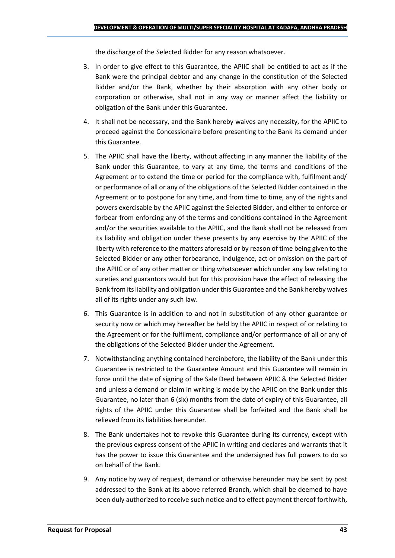the discharge of the Selected Bidder for any reason whatsoever.

- 3. In order to give effect to this Guarantee, the APIIC shall be entitled to act as if the Bank were the principal debtor and any change in the constitution of the Selected Bidder and/or the Bank, whether by their absorption with any other body or corporation or otherwise, shall not in any way or manner affect the liability or obligation of the Bank under this Guarantee.
- 4. It shall not be necessary, and the Bank hereby waives any necessity, for the APIIC to proceed against the Concessionaire before presenting to the Bank its demand under this Guarantee.
- 5. The APIIC shall have the liberty, without affecting in any manner the liability of the Bank under this Guarantee, to vary at any time, the terms and conditions of the Agreement or to extend the time or period for the compliance with, fulfilment and/ or performance of all or any of the obligations of the Selected Bidder contained in the Agreement or to postpone for any time, and from time to time, any of the rights and powers exercisable by the APIIC against the Selected Bidder, and either to enforce or forbear from enforcing any of the terms and conditions contained in the Agreement and/or the securities available to the APIIC, and the Bank shall not be released from its liability and obligation under these presents by any exercise by the APIIC of the liberty with reference to the matters aforesaid or by reason of time being given to the Selected Bidder or any other forbearance, indulgence, act or omission on the part of the APIIC or of any other matter or thing whatsoever which under any law relating to sureties and guarantors would but for this provision have the effect of releasing the Bank from its liability and obligation under this Guarantee and the Bank hereby waives all of its rights under any such law.
- 6. This Guarantee is in addition to and not in substitution of any other guarantee or security now or which may hereafter be held by the APIIC in respect of or relating to the Agreement or for the fulfilment, compliance and/or performance of all or any of the obligations of the Selected Bidder under the Agreement.
- 7. Notwithstanding anything contained hereinbefore, the liability of the Bank under this Guarantee is restricted to the Guarantee Amount and this Guarantee will remain in force until the date of signing of the Sale Deed between APIIC & the Selected Bidder and unless a demand or claim in writing is made by the APIIC on the Bank under this Guarantee, no later than 6 (six) months from the date of expiry of this Guarantee, all rights of the APIIC under this Guarantee shall be forfeited and the Bank shall be relieved from its liabilities hereunder.
- 8. The Bank undertakes not to revoke this Guarantee during its currency, except with the previous express consent of the APIIC in writing and declares and warrants that it has the power to issue this Guarantee and the undersigned has full powers to do so on behalf of the Bank.
- 9. Any notice by way of request, demand or otherwise hereunder may be sent by post addressed to the Bank at its above referred Branch, which shall be deemed to have been duly authorized to receive such notice and to effect payment thereof forthwith,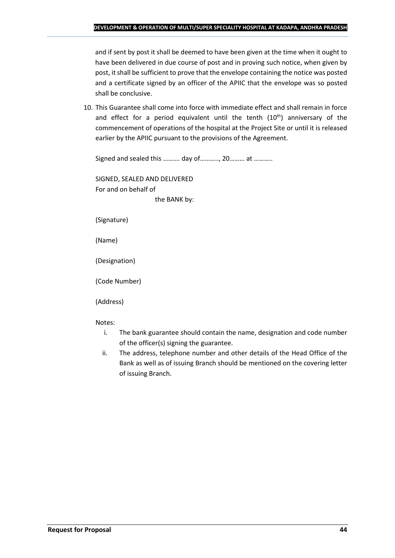and if sent by post it shall be deemed to have been given at the time when it ought to have been delivered in due course of post and in proving such notice, when given by post, it shall be sufficient to prove that the envelope containing the notice was posted and a certificate signed by an officer of the APIIC that the envelope was so posted shall be conclusive.

10. This Guarantee shall come into force with immediate effect and shall remain in force and effect for a period equivalent until the tenth  $(10<sup>th</sup>)$  anniversary of the commencement of operations of the hospital at the Project Site or until it is released earlier by the APIIC pursuant to the provisions of the Agreement.

Signed and sealed this ………. day of……….., 20……… at ………..

SIGNED, SEALED AND DELIVERED For and on behalf of the BANK by:

(Signature)

(Name)

(Designation)

(Code Number)

(Address)

Notes:

- i. The bank guarantee should contain the name, designation and code number of the officer(s) signing the guarantee.
- ii. The address, telephone number and other details of the Head Office of the Bank as well as of issuing Branch should be mentioned on the covering letter of issuing Branch.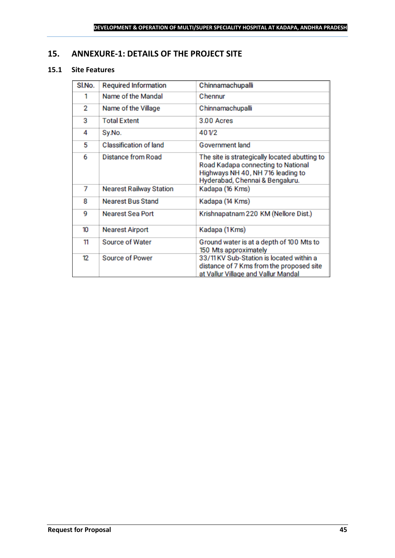## <span id="page-44-0"></span>**15. ANNEXURE-1: DETAILS OF THE PROJECT SITE**

## **15.1 Site Features**

| SI.No. | <b>Required Information</b>    | Chinnamachupalli                                                                                                                                            |
|--------|--------------------------------|-------------------------------------------------------------------------------------------------------------------------------------------------------------|
| 1      | Name of the Mandal             | Chennur                                                                                                                                                     |
| 2      | Name of the Village            | Chinnamachupalli                                                                                                                                            |
| з      | <b>Total Extent</b>            | 3.00 Acres                                                                                                                                                  |
| 4      | Sy.No.                         | 401/2                                                                                                                                                       |
| 5      | <b>Classification of land</b>  | Government land                                                                                                                                             |
| 6      | Distance from Road             | The site is strategically located abutting to<br>Road Kadapa connecting to National<br>Highways NH 40, NH 716 leading to<br>Hyderabad, Chennai & Bengaluru. |
| 7      | <b>Nearest Railway Station</b> | Kadapa (16 Kms)                                                                                                                                             |
| 8      | <b>Nearest Bus Stand</b>       | Kadapa (14 Kms)                                                                                                                                             |
| 9      | <b>Nearest Sea Port</b>        | Krishnapatnam 220 KM (Nellore Dist.)                                                                                                                        |
| 10     | <b>Nearest Airport</b>         | Kadapa (1 Kms)                                                                                                                                              |
| 11     | Source of Water                | Ground water is at a depth of 100 Mts to<br>150 Mts approximately                                                                                           |
| 12     | <b>Source of Power</b>         | 33/11 KV Sub-Station is located within a<br>distance of 7 Kms from the proposed site<br>at Vallur Village and Vallur Mandal                                 |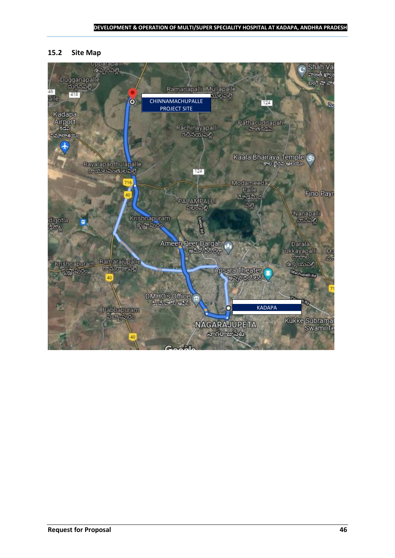#### **15.2 Site Map**

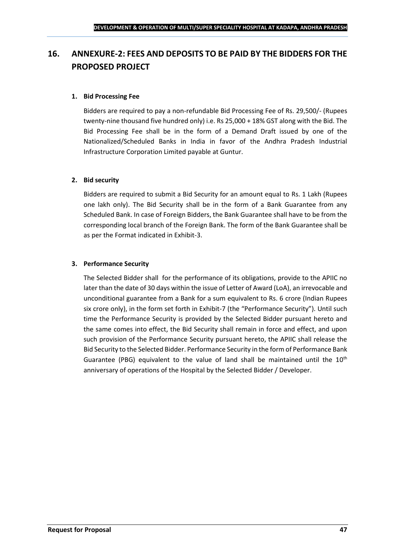## <span id="page-46-0"></span>**16. ANNEXURE-2: FEES AND DEPOSITS TO BE PAID BY THE BIDDERS FOR THE PROPOSED PROJECT**

## **1. Bid Processing Fee**

Bidders are required to pay a non-refundable Bid Processing Fee of Rs. 29,500/- (Rupees twenty-nine thousand five hundred only) i.e. Rs 25,000 + 18% GST along with the Bid. The Bid Processing Fee shall be in the form of a Demand Draft issued by one of the Nationalized/Scheduled Banks in India in favor of the Andhra Pradesh Industrial Infrastructure Corporation Limited payable at Guntur.

#### **2. Bid security**

Bidders are required to submit a Bid Security for an amount equal to Rs. 1 Lakh (Rupees one lakh only). The Bid Security shall be in the form of a Bank Guarantee from any Scheduled Bank. In case of Foreign Bidders, the Bank Guarantee shall have to be from the corresponding local branch of the Foreign Bank. The form of the Bank Guarantee shall be as per the Format indicated in Exhibit-3.

#### **3. Performance Security**

The Selected Bidder shall for the performance of its obligations, provide to the APIIC no later than the date of 30 days within the issue of Letter of Award (LoA), an irrevocable and unconditional guarantee from a Bank for a sum equivalent to Rs. 6 crore (Indian Rupees six crore only), in the form set forth in Exhibit-7 (the "Performance Security"). Until such time the Performance Security is provided by the Selected Bidder pursuant hereto and the same comes into effect, the Bid Security shall remain in force and effect, and upon such provision of the Performance Security pursuant hereto, the APIIC shall release the Bid Security to the Selected Bidder. Performance Security in the form of Performance Bank Guarantee (PBG) equivalent to the value of land shall be maintained until the  $10^{th}$ anniversary of operations of the Hospital by the Selected Bidder / Developer.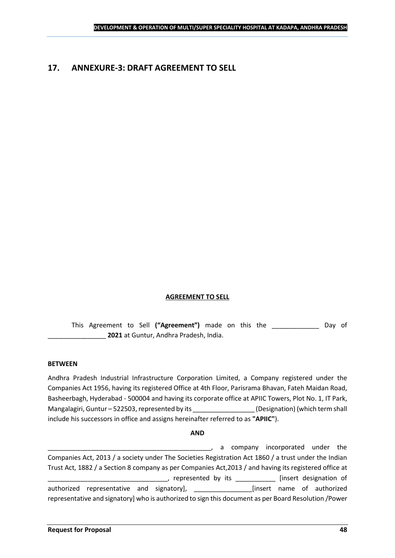## <span id="page-47-0"></span>**17. ANNEXURE-3: DRAFT AGREEMENT TO SELL**

#### **AGREEMENT TO SELL**

This Agreement to Sell **("Agreement")** made on this the \_\_\_\_\_\_\_\_\_\_\_\_\_ Day of \_\_\_\_\_\_\_\_\_\_\_\_\_\_\_\_ **2021** at Guntur, Andhra Pradesh, India.

#### **BETWEEN**

Andhra Pradesh Industrial Infrastructure Corporation Limited, a Company registered under the Companies Act 1956, having its registered Office at 4th Floor, Parisrama Bhavan, Fateh Maidan Road, Basheerbagh, Hyderabad - 500004 and having its corporate office at APIIC Towers, Plot No. 1, IT Park, Mangalagiri, Guntur – 522503, represented by its \_\_\_\_\_\_\_\_\_\_\_\_\_\_\_\_\_\_\_\_\_\_\_\_\_\_\_\_\_\_\_\_<br>(Designation) (which term shall include his successors in office and assigns hereinafter referred to as **"APIIC"**).

#### **AND**

\_\_\_\_\_\_\_\_\_\_\_\_\_\_\_\_\_\_\_\_\_\_\_\_\_\_\_\_\_\_\_\_\_\_\_\_\_\_\_\_\_\_\_\_\_, a company incorporated under the Companies Act, 2013 / a society under The Societies Registration Act 1860 / a trust under the Indian Trust Act, 1882 / a Section 8 company as per Companies Act,2013 / and having its registered office at \_\_\_\_\_, represented by its \_\_\_\_\_\_\_\_\_\_\_\_\_ [insert designation of authorized representative and signatory], \_\_\_\_\_\_\_\_\_\_\_\_\_\_\_\_[insert name of authorized representative and signatory] who is authorized to sign this document as per Board Resolution /Power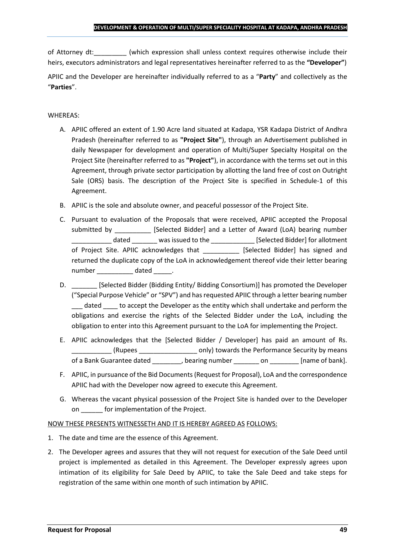of Attorney dt:  $\qquad \qquad$  (which expression shall unless context requires otherwise include their heirs, executors administrators and legal representatives hereinafter referred to as the **"Developer"**)

APIIC and the Developer are hereinafter individually referred to as a "**Party**" and collectively as the "**Parties**".

## WHEREAS:

- A. APIIC offered an extent of 1.90 Acre land situated at Kadapa, YSR Kadapa District of Andhra Pradesh (hereinafter referred to as **"Project Site"**), through an Advertisement published in daily Newspaper for development and operation of Multi/Super Specialty Hospital on the Project Site (hereinafter referred to as **"Project"**), in accordance with the terms set out in this Agreement, through private sector participation by allotting the land free of cost on Outright Sale (ORS) basis. The description of the Project Site is specified in Schedule-1 of this Agreement.
- B. APIIC is the sole and absolute owner, and peaceful possessor of the Project Site.
- C. Pursuant to evaluation of the Proposals that were received, APIIC accepted the Proposal submitted by [Selected Bidder] and a Letter of Award (LoA) bearing number \_\_\_\_\_\_\_\_\_\_\_ dated \_\_\_\_\_\_\_ was issued to the \_\_\_\_\_\_\_\_\_\_\_\_ [Selected Bidder] for allotment of Project Site. APIIC acknowledges that [Selected Bidder] has signed and returned the duplicate copy of the LoA in acknowledgement thereof vide their letter bearing number dated the dated and the dated and the dated  $\sim$
- D. \_\_\_\_\_\_\_ [Selected Bidder (Bidding Entity/ Bidding Consortium)] has promoted the Developer ("Special Purpose Vehicle" or "SPV") and has requested APIIC through a letter bearing number dated to accept the Developer as the entity which shall undertake and perform the obligations and exercise the rights of the Selected Bidder under the LoA, including the obligation to enter into this Agreement pursuant to the LoA for implementing the Project.
- E. APIIC acknowledges that the [Selected Bidder / Developer] has paid an amount of Rs. \_\_\_\_\_\_\_\_\_\_\_ (Rupees \_\_\_\_\_\_\_\_\_\_\_\_\_\_\_\_ only) towards the Performance Security by means of a Bank Guarantee dated bearing number on the lame of bank].
- F. APIIC, in pursuance of the Bid Documents (Request for Proposal), LoA and the correspondence APIIC had with the Developer now agreed to execute this Agreement.
- G. Whereas the vacant physical possession of the Project Site is handed over to the Developer on \_\_\_\_\_\_ for implementation of the Project.

## NOW THESE PRESENTS WITNESSETH AND IT IS HEREBY AGREED AS FOLLOWS:

- 1. The date and time are the essence of this Agreement.
- 2. The Developer agrees and assures that they will not request for execution of the Sale Deed until project is implemented as detailed in this Agreement. The Developer expressly agrees upon intimation of its eligibility for Sale Deed by APIIC, to take the Sale Deed and take steps for registration of the same within one month of such intimation by APIIC.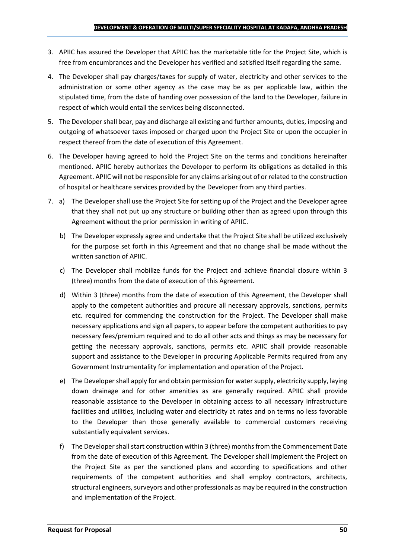- 3. APIIC has assured the Developer that APIIC has the marketable title for the Project Site, which is free from encumbrances and the Developer has verified and satisfied itself regarding the same.
- 4. The Developer shall pay charges/taxes for supply of water, electricity and other services to the administration or some other agency as the case may be as per applicable law, within the stipulated time, from the date of handing over possession of the land to the Developer, failure in respect of which would entail the services being disconnected.
- 5. The Developer shall bear, pay and discharge all existing and further amounts, duties, imposing and outgoing of whatsoever taxes imposed or charged upon the Project Site or upon the occupier in respect thereof from the date of execution of this Agreement.
- 6. The Developer having agreed to hold the Project Site on the terms and conditions hereinafter mentioned. APIIC hereby authorizes the Developer to perform its obligations as detailed in this Agreement. APIIC will not be responsible for any claims arising out of or related to the construction of hospital or healthcare services provided by the Developer from any third parties.
- 7. a) The Developer shall use the Project Site for setting up of the Project and the Developer agree that they shall not put up any structure or building other than as agreed upon through this Agreement without the prior permission in writing of APIIC.
	- b) The Developer expressly agree and undertake that the Project Site shall be utilized exclusively for the purpose set forth in this Agreement and that no change shall be made without the written sanction of APIIC.
	- c) The Developer shall mobilize funds for the Project and achieve financial closure within 3 (three) months from the date of execution of this Agreement.
	- d) Within 3 (three) months from the date of execution of this Agreement, the Developer shall apply to the competent authorities and procure all necessary approvals, sanctions, permits etc. required for commencing the construction for the Project. The Developer shall make necessary applications and sign all papers, to appear before the competent authorities to pay necessary fees/premium required and to do all other acts and things as may be necessary for getting the necessary approvals, sanctions, permits etc. APIIC shall provide reasonable support and assistance to the Developer in procuring Applicable Permits required from any Government Instrumentality for implementation and operation of the Project.
	- e) The Developer shall apply for and obtain permission for water supply, electricity supply, laying down drainage and for other amenities as are generally required. APIIC shall provide reasonable assistance to the Developer in obtaining access to all necessary infrastructure facilities and utilities, including water and electricity at rates and on terms no less favorable to the Developer than those generally available to commercial customers receiving substantially equivalent services.
	- f) The Developer shall start construction within 3 (three) months from the Commencement Date from the date of execution of this Agreement. The Developer shall implement the Project on the Project Site as per the sanctioned plans and according to specifications and other requirements of the competent authorities and shall employ contractors, architects, structural engineers, surveyors and other professionals as may be required in the construction and implementation of the Project.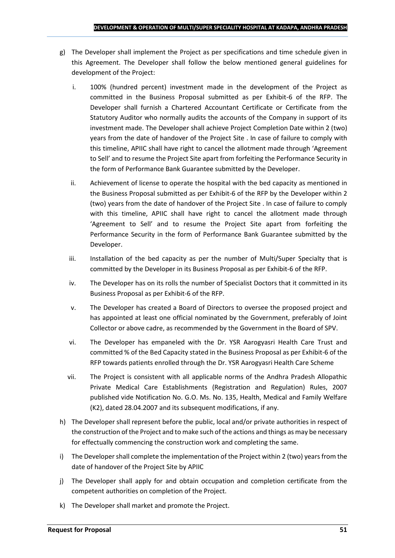- g) The Developer shall implement the Project as per specifications and time schedule given in this Agreement. The Developer shall follow the below mentioned general guidelines for development of the Project:
	- i. 100% (hundred percent) investment made in the development of the Project as committed in the Business Proposal submitted as per Exhibit-6 of the RFP. The Developer shall furnish a Chartered Accountant Certificate or Certificate from the Statutory Auditor who normally audits the accounts of the Company in support of its investment made. The Developer shall achieve Project Completion Date within 2 (two) years from the date of handover of the Project Site . In case of failure to comply with this timeline, APIIC shall have right to cancel the allotment made through 'Agreement to Sell' and to resume the Project Site apart from forfeiting the Performance Security in the form of Performance Bank Guarantee submitted by the Developer.
	- ii. Achievement of license to operate the hospital with the bed capacity as mentioned in the Business Proposal submitted as per Exhibit-6 of the RFP by the Developer within 2 (two) years from the date of handover of the Project Site . In case of failure to comply with this timeline, APIIC shall have right to cancel the allotment made through 'Agreement to Sell' and to resume the Project Site apart from forfeiting the Performance Security in the form of Performance Bank Guarantee submitted by the Developer.
	- iii. Installation of the bed capacity as per the number of Multi/Super Specialty that is committed by the Developer in its Business Proposal as per Exhibit-6 of the RFP.
	- iv. The Developer has on its rolls the number of Specialist Doctors that it committed in its Business Proposal as per Exhibit-6 of the RFP.
	- v. The Developer has created a Board of Directors to oversee the proposed project and has appointed at least one official nominated by the Government, preferably of Joint Collector or above cadre, as recommended by the Government in the Board of SPV.
	- vi. The Developer has empaneled with the Dr. YSR Aarogyasri Health Care Trust and committed % of the Bed Capacity stated in the Business Proposal as per Exhibit-6 of the RFP towards patients enrolled through the Dr. YSR Aarogyasri Health Care Scheme
	- vii. The Project is consistent with all applicable norms of the Andhra Pradesh Allopathic Private Medical Care Establishments (Registration and Regulation) Rules, 2007 published vide Notification No. G.O. Ms. No. 135, Health, Medical and Family Welfare (K2), dated 28.04.2007 and its subsequent modifications, if any.
- h) The Developer shall represent before the public, local and/or private authorities in respect of the construction of the Project and to make such of the actions and things as may be necessary for effectually commencing the construction work and completing the same.
- i) The Developer shall complete the implementation of the Project within 2 (two) years from the date of handover of the Project Site by APIIC
- j) The Developer shall apply for and obtain occupation and completion certificate from the competent authorities on completion of the Project.
- k) The Developer shall market and promote the Project.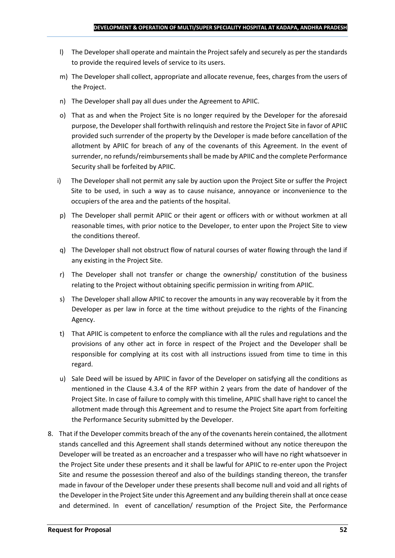- l) The Developer shall operate and maintain the Project safely and securely as per the standards to provide the required levels of service to its users.
- m) The Developer shall collect, appropriate and allocate revenue, fees, charges from the users of the Project.
- n) The Developer shall pay all dues under the Agreement to APIIC.
- o) That as and when the Project Site is no longer required by the Developer for the aforesaid purpose, the Developer shall forthwith relinquish and restore the Project Site in favor of APIIC provided such surrender of the property by the Developer is made before cancellation of the allotment by APIIC for breach of any of the covenants of this Agreement. In the event of surrender, no refunds/reimbursements shall be made by APIIC and the complete Performance Security shall be forfeited by APIIC.
- i) The Developer shall not permit any sale by auction upon the Project Site or suffer the Project Site to be used, in such a way as to cause nuisance, annoyance or inconvenience to the occupiers of the area and the patients of the hospital.
- p) The Developer shall permit APIIC or their agent or officers with or without workmen at all reasonable times, with prior notice to the Developer, to enter upon the Project Site to view the conditions thereof.
- q) The Developer shall not obstruct flow of natural courses of water flowing through the land if any existing in the Project Site.
- r) The Developer shall not transfer or change the ownership/ constitution of the business relating to the Project without obtaining specific permission in writing from APIIC.
- s) The Developer shall allow APIIC to recover the amounts in any way recoverable by it from the Developer as per law in force at the time without prejudice to the rights of the Financing Agency.
- t) That APIIC is competent to enforce the compliance with all the rules and regulations and the provisions of any other act in force in respect of the Project and the Developer shall be responsible for complying at its cost with all instructions issued from time to time in this regard.
- u) Sale Deed will be issued by APIIC in favor of the Developer on satisfying all the conditions as mentioned in the Clause 4.3.4 of the RFP within 2 years from the date of handover of the Project Site. In case of failure to comply with this timeline, APIIC shall have right to cancel the allotment made through this Agreement and to resume the Project Site apart from forfeiting the Performance Security submitted by the Developer.
- 8. That if the Developer commits breach of the any of the covenants herein contained, the allotment stands cancelled and this Agreement shall stands determined without any notice thereupon the Developer will be treated as an encroacher and a trespasser who will have no right whatsoever in the Project Site under these presents and it shall be lawful for APIIC to re-enter upon the Project Site and resume the possession thereof and also of the buildings standing thereon, the transfer made in favour of the Developer under these presents shall become null and void and all rights of the Developer in the Project Site under this Agreement and any building therein shall at once cease and determined. In event of cancellation/ resumption of the Project Site, the Performance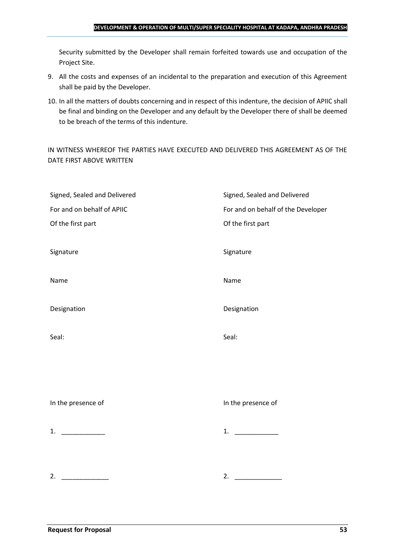#### **DEVELOPMENT & OPERATION OF MULTI/SUPER SPECIALITY HOSPITAL AT KADAPA, ANDHRA PRADESH**

Security submitted by the Developer shall remain forfeited towards use and occupation of the Project Site.

- 9. All the costs and expenses of an incidental to the preparation and execution of this Agreement shall be paid by the Developer.
- 10. In all the matters of doubts concerning and in respect of this indenture, the decision of APIIC shall be final and binding on the Developer and any default by the Developer there of shall be deemed to be breach of the terms of this indenture.

IN WITNESS WHEREOF THE PARTIES HAVE EXECUTED AND DELIVERED THIS AGREEMENT AS OF THE DATE FIRST ABOVE WRITTEN

| Signed, Sealed and Delivered | Signed, Sealed and Delivered       |
|------------------------------|------------------------------------|
| For and on behalf of APIIC   | For and on behalf of the Developer |
| Of the first part            | Of the first part                  |
|                              |                                    |
| Signature                    | Signature                          |
|                              |                                    |
| Name                         | Name                               |
|                              |                                    |
| Designation                  | Designation                        |
|                              |                                    |
| Seal:                        | Seal:                              |
|                              |                                    |
|                              |                                    |
|                              |                                    |
|                              |                                    |
| In the presence of           | In the presence of                 |
|                              |                                    |
| 1. $\qquad$                  | 1. $\qquad$                        |
|                              |                                    |
|                              |                                    |
| 2.                           | 2.                                 |
|                              |                                    |